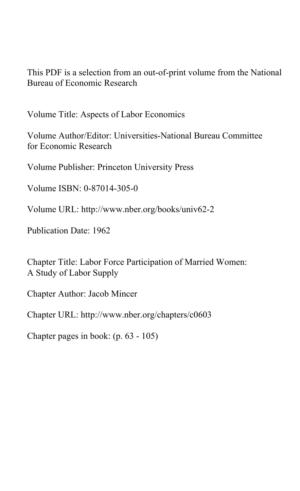This PDF is a selection from an out-of-print volume from the National Bureau of Economic Research

Volume Title: Aspects of Labor Economics

Volume Author/Editor: Universities-National Bureau Committee for Economic Research

Volume Publisher: Princeton University Press

Volume ISBN: 0-87014-305-0

Volume URL: http://www.nber.org/books/univ62-2

Publication Date: 1962

Chapter Title: Labor Force Participation of Married Women: A Study of Labor Supply

Chapter Author: Jacob Mincer

Chapter URL: http://www.nber.org/chapters/c0603

Chapter pages in book: (p. 63 - 105)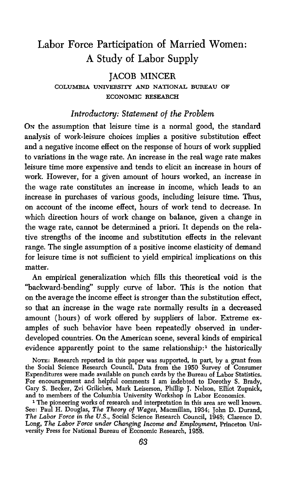# Labor Force Participation of Married Women:<br>
A Study of Labor Supply<br>
JACOB MINCER<br>
COLUMBIA UNIVERSITY AND NATIONAL BUREAU OF<br>
ECONOMIC RESEARCH A Study of Labor Supply

## JACOB MINCER ECONOMIC RESEARCH

#### Introductory: Statement of the Problem

ON the assumption that leisure time is a normal good, the standard analysis of work-leisure choices implies a positive substitution effect and a negative income effect on the response of hours of work supplied to variations in the wage rate. An increase in the real wage rate makes leisure time more expensive and tends to elicit an increase in hours of work. However, for a given amount of hours worked, an increase in the wage rate constitutes an increase in income, which leads to an increase in purchases of various goods, including leisure time. Thus, on account of the income effect, hours of work tend to decrease. In which direction hours of work change on balance, given a change in the wage rate, cannot be determined a priori. It depends on the relative strengths of the income and substitution effects in the relevant range. The single assumption of a positive income elasticity of demand for leisure time is not sufficient to yield empirical implications on this matter.

An empirical generalization which fills this theoretical void is the "backward-bending" supply curve of labor. This is the notion that on the average the income effect is stronger than the substitution effect, so that an increase in the wage rate normally results in a decreased amount (hours) of work offered by suppliers of labor. Extreme examples of such behavior have been repeatedly observed in underdeveloped countries. On the American scene, several kinds of empirical evidence apparently point to the same relationship:<sup>1</sup> the historically

Norx: Research reported in this paper was supported, in part, by a grant from the Social Science Research Council. Data from the 1950 Survey of Consumer Expenditures were made available on punch cards by the Bureau of Labor Statistics. For encouragement and helpful comments I am indebted to Dorothy S. Brady, Gary S. Becker, Zvi Griliches, Mark Leiserson, Philip J. Nelson, Elliot Zupnick, and to members of the Columbia University Workshop in Labor Economics.

<sup>1</sup> The pioneering works of research and interpretation in this area are well known. See: Paul H. Douglas, The Theory of Wages, Macmillan, 1934; John D. Durand, The Labor Force in the U.S., Social Science Research Council, 1948; Clarence D. Long, The Labor Force under Changing Income and Employment, Princeton University Press for National Bureau of Economic Research, 1958.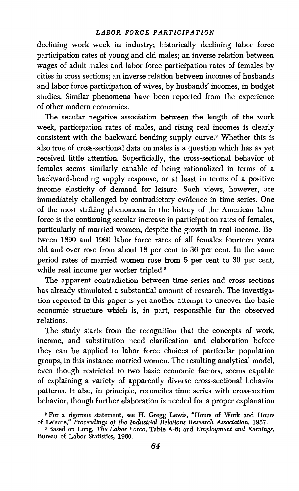#### LABOR FORCE PARTICiPATION

declining work week in industry; historically declining labor force participation rates of young and old males; an inverse relation between wages of adult males and labor force participation rates of females by cities in cross sections; an inverse relation between incomes of husbands and labor force participation of wives, by husbands' incomes, in budget studies. Similar phenomena have been reported from the experience of other modern economies.

The secular negative association between the length of the work week, participation rates of males, and rising real incomes is clearly consistent with the backward-bending supply curve.<sup>2</sup> Whether this is also true of cross-sectional data on males is a question which has as yet received little attention. Superficially, the cross-sectional behavior of females seems similarly capable of being rationalized in terms of a backward-bending supply response, or at least in terms of a positive income elasticity of demand for leisure. Such views, however, are immediately challenged by contradictory evidence in time series. One of the most striking phenomena in the history of the American labor force is the continuing secular increase in participation rates of females, particularly of married women, despite the growth in real income. Between 1890 and 1960 labor force rates of all females fourteen years old and over rose from about 18 per cent to 36 per cent. In the same period rates of married women rose from 5 per cent to 30 per cent, while real income per worker tripled.<sup>8</sup>

The apparent contradiction between time series and cross sections has already stimulated a substantial amount of research. The investigation reported in this paper is yet another attempt to uncover the basic economic structure which is, in part, responsible for the observed relations.

The study starts from the recognition that the concepts of work, income, and substitution need clarification and elaboration before they can be applied to labor force choices of particular population groups, in this instance married women. The resulting analytical model, even though restricted to two basic economic factors, seems capable of explaining a variety of apparently diverse cross-sectional behavior patterns. It also, in principle, reconciles time series with cross-section behavior, though further elaboration is needed for a proper explanation

<sup>2</sup> For a rigorous statement, see H. Gregg Lewis, "Hours of Work and Hours of Leisure," Proceedings of the Industrial Relations Research Association, 1957.

<sup>&</sup>lt;sup>8</sup> Based on Long, The Labor Force, Table A-6; and Employment and Earnings, Bureau of Labor Statistics, 1960.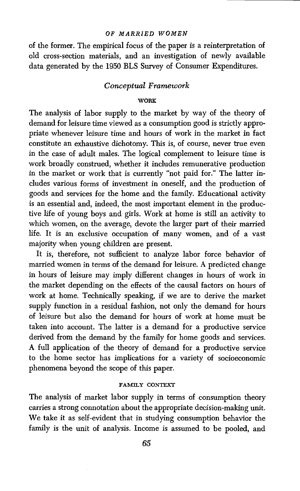of the former. The empirical focus of the paper is a reinterpretation of old cross-section materials, and an investigation of newly available data generated by the 1950 BLS Survey of Consumer Expenditures.

#### Conceptual Framework

#### **WORK**

The analysis of labor supply to the market by way of the theory of demand for leisure time viewed as a consumption good is strictly appropriate whenever leisure time and hours of work in the market in fact constitute an exhaustive dichotomy. This is, of course, never true even in the case of adult males. The logical complement to leisure time is work broadly construed, whether it includes remunerative production in the market or work that is currently "not paid for." The latter includes various forms of investment in oneself, and the production of goods and services for the home and the family. Educational activity is an essential and, indeed, the most important element in the productive life of young boys and girls. Work at home is still an activity to which women, on the average, devote the larger part of their married life. It is an exclusive occupation of many women, and of a vast majority when young children are present.

It is, therefore, not sufficient to analyze labor force behavior of married women in terms of the demand for leisure. A predicted change in hours of leisure may imply different changes in hours of work in the market depending on the effects of the causal factors on hours of work at home. Technically speaking, if we are to derive the market supply function in a residual fashion, not only the demand for hours of leisure but also the demand for hours of work at home must be taken into account. The latter is a demand for a productive service derived from the demand by the family for home goods and services. A full application of the theory of demand for a productive service to the home sector has implications for a variety of socioeconomic phenomena beyond the scope of this paper.

#### FAMILY CONTEXT

The analysis of market labor supply in terms of consumption theory carries a strong connotation about the appropriate decision-making unit. We take it as self-evident that in studying consumption behavior the family is the unit of analysis. Income is assumed to be pooled, and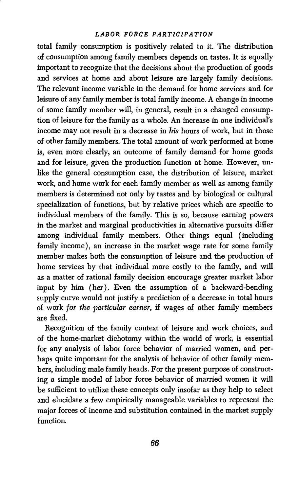#### LABOR FORCE PARTICiPATiON

total family consumption is positively related to it. The distribution of consumption among family members depends on tastes. It is equally important to recognize that the decisions about the production of goods and services at home and about leisure are largely family decisions. The relevant income variable in the demand for home services and for leisure of any family member is total family income. A change in income of some family member will, in general, result in a changed consumption of leisure for the family as a whole. An increase in one individual's income may not result in a decrease in his hours of work, but in those of other family members. The total amount of work performed at home is, even more clearly, an outcome of family demand for home goods and for leisure, given the production function at home. However, unlike the general consumption case, the distribution of leisure, market work, and home work for each family member as well as among family members is determined not only by tastes and by biological or cultural specialization of functions, but by relative prices which are specific to individual members of the family. This is so, because earning powers in the market and marginal productivities in alternative pursuits  $\operatorname{differ}$ among individual family members. Other things equal (including family income), an increase in the market wage rate for some family member makes both the consumption of leisure and the production of home services by that individual more costly to the family, and will as a matter of rational family decision encourage greater market labor input by him (her). Even the assumption of a backward-bending supply curve would not justify a prediction of a decrease in total hours of work for the particular earner, if wages of other family members are fixed.

Recognition of the family context of leisure and work choices, and of the home-market dichotomy within the world of work, is essential for any analysis of labor force behavior of married women, and perhaps quite important for the analysis of behavior of other family members, including male family heads. For the present purpose of constructing a simple model of labor force behavior of married women it will be sufficient to utilize these concepts only insofar as they help to select and elucidate a few empirically manageable variables to represent the major forces of income and substitution contained in the market supply function.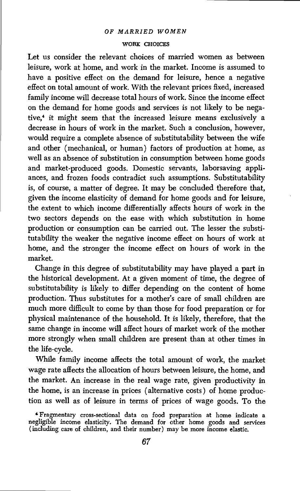#### WORK CHOICES

Let us consider the relevant choices of married women as between leisure, work at home, and work in the market. Income is assumed to have a positive effect on the demand for leisure, hence a negative effect on total amount of work. With the relevant prices fixed, increased family income will decrease total hours of work. Since the income effect on the demand for home goods and services is not likely to be negative,<sup>4</sup> it might seem that the increased leisure means exclusively a decrease in hours of work in the market. Such a conclusion, however, would require a complete absence of substitutability between the wife and other (mechanical, or human) factors of production at home, as well as an absence of substitution in consumption between home goods and market-produced goods. Domestic servants, laborsaving appliances, and frozen foods contradict such assumptions. Substitutability is, of course, a matter of degree. It may be concluded therefore that, given the income elasticity of demand for home goods and for leisure, the extent to which income differentially affects hours of work in the two sectors depends on the ease with which substitution in home production or consumption can be carried out. The lesser the substitutability the weaker the negative income effect on hours of work at home, and the stronger the income effect on hours of work in the market.

Change in this degree of substitutability may have played a part in the historical development. At a given moment of time, the degree of substitutability is likely to differ depending on the content of home production. Thus substitutes for a mother's care of small children are much more difficult to come by than those for food preparation or for physical maintenance of the household. It is likely, therefore, that the same change in income will affect hours of market work of the mother more strongly when small children are present than at other times in the life-cycle.

While family income affects the total amount of work, the market wage rate affects the allocation of hours between leisure, the home, and the market. An increase in the real wage rate, given productivity in the home, is an increase in prices (alternative costs) of home production as well as of leisure in terms of prices of wage goods. To the

<sup>&#</sup>x27;Fragmentary cross-sectional data on food preparation at home indicate a negligible income elasticity. The demand for other home goods and services (including care of children, and their number) may be more income elastic.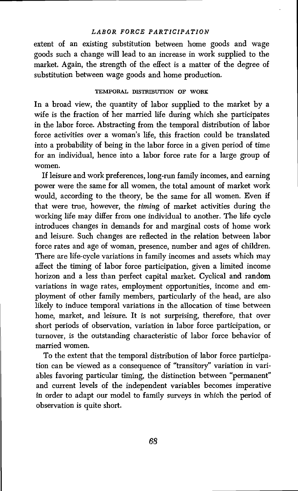#### LABOR FORCE PARTICIPATION

extent of an existing substitution between home goods and wage goods such a change will lead to an increase in work supplied to the market. Again, the strength of the effect is a matter of the degree of substitution between wage goods and home production.

#### TEMPORAL DISTRIBUTION OF WORK

In a broad view, the quantity of labor supplied to the market by a wife is the fraction of her married life during which she participates in the labor force. Abstracting from the temporal distribution of labor force activities over a woman's life, this fraction could be translated into a probability of being in the labor force in a given period of time for an individual, hence into a labor force rate for a large group of women.

If leisure and work preferences, long-run family incomes, and earning power were the same for all women, the total amount of market work would, according to the theory, be the same for all women. Even if that were true, however, the timing of market activities during the working life may differ from one individual to another. The life cycle introduces changes in demands for and marginal costs of home work and leisure. Such changes are reflected in the relation between labor force rates and age of woman, presence, number and ages of children. There are life-cycle variations in family incomes and assets which may affect the timing of labor force participation, given a limited income horizon and a less than perfect capital market. Cyclical and random variations in wage rates, employment opportunities, income and employment of other family members, particularly of the head, are also likely to induce temporal variations in the allocation of time between home, market, and leisure. It is not surprising, therefore, that over short periods of observation, variation in labor force participation, or turnover, is the outstanding characteristic of labor force behavior of married women.

To the extent that the temporal distribution of labor force participation can be viewed as a consequence of "transitory" variation in variables favoring particular timing, the distinction between "permanent" and current levels of the independent variables becomes imperative in order to adapt our model to family surveys in which the period of observation is quite short.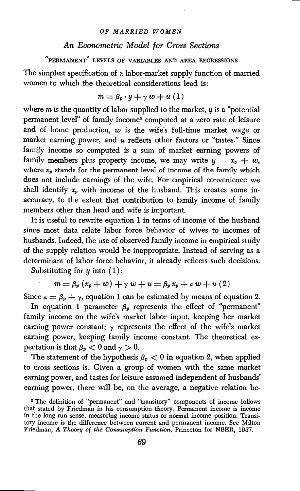#### An Econometric Model for Cross Sections

"PERMANENT" LEVELS OF VARIABLES AND AREA REGRESSIONS

The simplest specification of a labor-market supply function of married women to which the theoretical considerations lead is:

$$
m = \beta_p \cdot y + \gamma w + u(1)
$$

where  $m$  is the quantity of labor supplied to the market,  $y$  is a "potential" permanent level" of family income<sup>5</sup> computed at a zero rate of leisure and of home production,  $w$  is the wife's full-time market wage or market earning power, and  $u$  reflects other factors or "tastes." Since family income so computed is a sum of market earning powers of family members plus property income, we may write  $y = x_0 + w$ , where  $x_p$  stands for the permanent level of income of the family which does not include earnings of the wife. For empirical convenience we shall identify  $x_p$  with income of the husband. This creates some inaccuracy, to the extent that contribution to family income of family members other than head and wife is important.

It is useful to rewrite equation 1 in terms of income of the husband since most data relate labor force behavior of wives to incomes of husbands. Indeed, the use of observed family income in empirical study of the supply relation would be inappropriate. Instead of serving as a determinant of labor force behavior, it already reflects such decisions.

Substituting for  $y$  into  $(1)$ :

$$
m = \beta_p (x_p + w) + \gamma w + u = \beta_p x_p + a w + u (2)
$$

Since  $a = \beta_p + \gamma$ , equation 1 can be estimated by means of equation 2.

In equation 1 parameter  $\beta_p$  represents the effect of "permanent" family income on the wife's market labor input, keeping her market earning power constant;  $\gamma$  represents the effect of the wife's market earning power, keeping family income constant. The theoretical expectation is that  $\beta_n < 0$  and  $\gamma > 0$ .

The statement of the hypothesis  $\beta_p < 0$  in equation 2, when applied to cross sections is: Given a group of women with the same market earning power, and tastes for leisure assumed independent of husbands' earning power, there will be, on the average, a negative relation be-

The definition of "permanent" and "transitory" components of income follows that stated by Friedman in his consumption theory. Permanent income is income in the long-run sense, measuring income status or normal income position. Transitory income is the difference between current and permanent income. See Milton Friedman, A Theory of the Consumption Function, Princeton for NBER, 1957.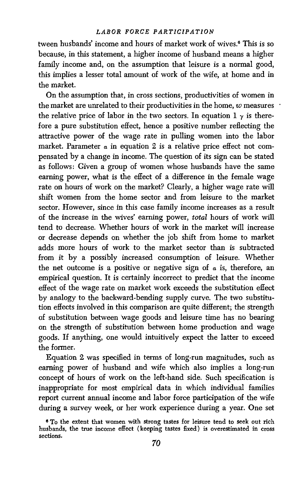#### LABOR FORCE PARTiCIPATiON

tween husbands' income and hours of market work of wives.<sup>6</sup> This is so because, in this statement, a higher income of husband means a higher family income and, on the assumption that leisure is a normal good, this implies a lesser total amount of work of the wife, at home and in the market.

On the assumption that, in cross sections, productivities of women in the market are unrelated to their productivities in the home,  $w$  measures  $\cdot$ the relative price of labor in the two sectors. In equation 1  $\gamma$  is therefore a pure substitution effect, hence a positive number reflecting the attractive power of the wage rate in pulling women into the labor market. Parameter a in equation 2 is a relative price effect not compensated by a change in income. The question of its sign can be stated as follows: Given a group of women whose husbands have the same earning power, what is the effect of a difference in the female wage rate on hours of work on the market? Clearly, a higher wage rate will shift women from the home sector and from leisure to the market sector. However, since in this case family income increases as a result of the increase in the wives' earning power, total hours of work will tend to decrease. Whether hours of work in the market will increase or decrease depends on whether the job shift from home to market adds more hours of work to the market sector than is subtracted from it by a possibly increased consumption of leisure. Whether the net outcome is a positive or negative sign of  $a$  is, therefore, an empirical question. It is certainly incorrect to predict that the income effect of the wage rate on market work exceeds the substitution effect by analogy to the backward-bending supply curve. The two substitution effects involved in this comparison are quite different; the strength of substitution between wage goods and leisure time has no bearing on the strength of substitution between home production and wage goods. If anything, one would intuitively expect the latter to exceed the former.

Equation 2 was specified in terms of long-run magnitudes, such as earning power of husband and wife which also implies a long-run concept of hours of work on the left-hand side. Such specification is inappropriate for most empirical data in which individual families report current annual income and labor force participation of the wife during a survey week, or her work experience during a year. One set

To the extent that women with strong tastes for leisure tend to seek out rich husbands, the true income effect (keeping tastes fixed) is overestimated in cross sections.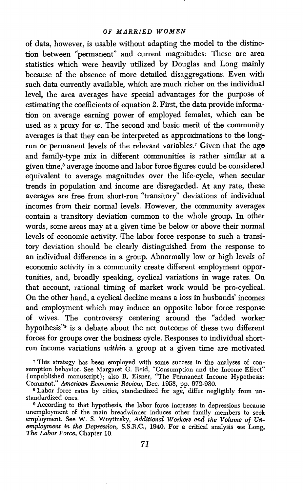of data, however, is usable without adapting the model to the distinction between "permanent" and current magnitudes: These are area statistics which were heavily utilized by Douglas and Long mainly because of the absence of more detailed disaggregations. Even with such data currently available, which are much richer on the individual level, the area averages have special advantages for the purpose of estimating the coefficients of equation 2. First, the data provide information on average earning power of employed females, which can be used as a proxy for  $w$ . The second and basic merit of the community averages is that they can be interpreted as approximations to the longrun or permanent levels of the relevant variables.<sup>7</sup> Given that the age and family-type mix in different communities is rather similar at a given time,<sup>8</sup> average income and labor force figures could be considered equivalent to average magnitudes over the life-cycle, when secular trends in population and income are disregarded. At any rate, these averages are free from short-run "transitory" deviations of individual incomes from their normal levels. However, the community averages contain a transitory deviation common to the whole group. In other words, some areas may at a given time be below or above their normal levels of economic activity. The labor force response to such a transitory deviation should be clearly distinguished from the response to an individual difference in a group. Abnormally low or high levels of economic activity in a community create different employment opportunities, and, broadly speaking, cyclical variations in wage rates. On that account, rational timing of market work would be pro-cyclical. On the other hand, a cyclical decline means a ioss in husbands' incomes and employment which may induce an opposite labor force response of wives. The controversy centering around the "added worker hypothesis"<sup>9</sup> is a debate about the net outcome of these two different forces for groups over the business cycle. Responses to individual shortrun income variations within a group at a given time are motivated

This strategy has been employed with some success in the analyses of consurnption behavior. See Margaret C. Reid, "Consumption and the Income Effect" (unpublished manuscript); also R. Eisner, "The Permanent Income Hypothesis: Comment," American Economic Review, Dec. 1958, pp. 972-980.

<sup>&</sup>lt;sup>8</sup> Labor force rates by cities, standardized for age, differ negligibly from unstandardized ones.

<sup>9</sup> According to that hypothesis, the labor force increases in depressions because unemployment of the main breadwinner induces other family members to seek employment. See W. S. Woytinsky, Additional Workers and the Volume of Unemployment in the Depression, S.S.R.C., 1940. For a critical analysis see Long, The Labor Force, Chapter 10.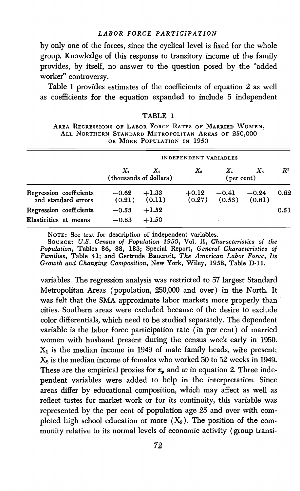by only one of the forces, since the cyclical level is fixed for the whole group. Knowledge of this response to transitory income of the family provides, by itself, no answer to the question posed by the "added worker" controversy.

Table 1 provides estimates of the coefficients of equation 2 as well as coefficients for the equation expanded to include 5 independent

| ALL NORTHERN STANDARD METROPOLITAN AREAS OF 250,000 |                    | OR MORE POPULATION IN 1950        |                              |                   |                   |       |
|-----------------------------------------------------|--------------------|-----------------------------------|------------------------------|-------------------|-------------------|-------|
|                                                     |                    |                                   | <b>INDEPENDENT VARIABLES</b> |                   |                   |       |
|                                                     | $X_{1}$            | $X_{2}$<br>(thousands of dollars) | $X_{3}$                      | X.<br>(per cent)  | $X_{\kappa}$      | $R^2$ |
| Regression coefficients<br>and standard errors      | $-0.62$<br>(0.21)  | $+1.33$<br>(0.11)                 | $+0.12$<br>(0.27)            | $-0.41$<br>(0.53) | $-0.24$<br>(0.61) | 0.62  |
| Regression coefficients<br>Elasticities at means    | $-0.53$<br>$-0.83$ | $+1.52$<br>$+1.50$                |                              |                   |                   | 0.51  |

| AREA REGRESSIONS OF LABOR FORCE RATES OF MARRIED WOMEN. |
|---------------------------------------------------------|
| ALL NORTHERN STANDARD METROPOLITAN AREAS OF 250,000     |
| OR MORE POPULATION IN 1950                              |

TABLE 1

NOTE: See text for description of independent variables.

SOURCE: U.S. Census of Population 1950, Vol. II, Characteristics of the Population, Tables 86, 88, 183; Special Report, General Characteristics of Families, Table 41; and Gertrude Bancroft, The American Labor Force, Its Growth and Changing Composition, New York, Wiley, 1958, Table D-11.

variables. The regression analysis was restricted to 57 largest Standard Metropolitan Areas (population, 250,000 and over) in the North. It was felt that the SMA approximate labor markets more properly than cities. Southern areas were excluded because of the desire to exclude color differentials, which need to be studied separately. The dependent variable is the labor force participation rate (in per cent) of married women with husband present during the census week early in 1950.  $X<sub>1</sub>$  is the median income in 1949 of male family heads, wife present;  $X_2$  is the median income of females who worked 50 to 52 weeks in 1949. These are the empirical proxies for  $x_p$  and w in equation 2. Three independent variables were added to help in the interpretation. Since areas differ by educational composition, which may affect as well as reflect tastes for market work or for its continuity, this variable was represented by the per cent of population age 25 and over with completed high school education or more  $(X_3)$ . The position of the community relative to its normal levels of economic activity (group transi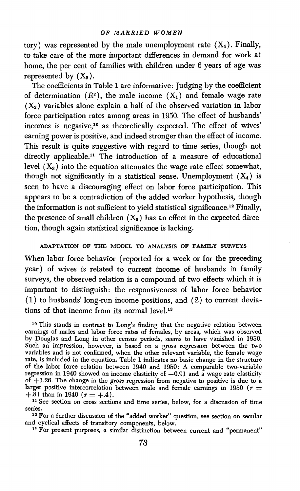tory) was represented by the male unemployment rate  $(X_4)$ . Finally, to take care of the more important differences in demand for work at home, the per cent of families with children under 6 years of age was represented by  $(X_5)$ .

The coefficients in Table 1 are informative: Judging by the coefficient of determination  $(R^2)$ , the male income  $(X_1)$  and female wage rate  $(X_2)$  variables alone explain a half of the observed variation in labor force participation rates among areas in 1950. The effect of husbands' incomes is negative,'0 as theoretically expected. The effect of wives' earning power is positive, and indeed stronger than the effect of income. This result is quite suggestive with regard to time series, though not directly applicable.<sup>11</sup> The introduction of a measure of educational level  $(X_3)$  into the equation attenuates the wage rate effect somewhat, though not significantly in a statistical sense. Unemployment  $(X_4)$  is seen to have a discouraging effect on labor force participation. This appears to be a contradiction of the added worker hypothesis, though the information is not sufficient to yield statistical significance.12 Finally, the presence of small children  $(X_5)$  has an effect in the expected direction, though again statistical significance is lacking.

#### ADAPTATION OF THE MODEL TO ANALYSIS OF FAMILY SURVEYS

When labor force behavior (reported for a week or for the preceding year) of wives is related to current income of husbands in family surveys, the observed relation is a compound of two effects which it is important to distinguish: the responsiveness of labor force behavior (1) to husbands' long-run income positions, and (2) to current deviations of that income from its normal level.<sup>13</sup>

10 This stands in contrast to Long's finding that the negative relation between earnings of males and labor force rates of females, by areas, which was observed by Douglas and Long in other census periods, seems to have vanished in 1950. Such an impression, however, is based on a gross regression between the two variables and is not confirmed, when the other relevant variable, the female wage rate, is included in the equation. Table 1 indicates no basic change in the structure of the labor force relation between 1940 and 1950: A comparable two-variable regression in 1940 showed an income elasticity of —0.91 and a wage rate elasticity of  $+1.26$ . The change in the gross regression from negative to positive is due to a larger positive intercorrelation between male and female earnings in 1950 ( $r =$  $+.\overline{8}$ ) than in 1940 ( $r = +.4$ ).<br><sup>11</sup> See section on cross sections and time series, below, for a discussion of time

series.

12 For a further discussion of the "added worker" question, see section on secular and cyclical effects of transitory components, below.

<sup>12</sup> For present purposes, a similar distinction between current and "permanent"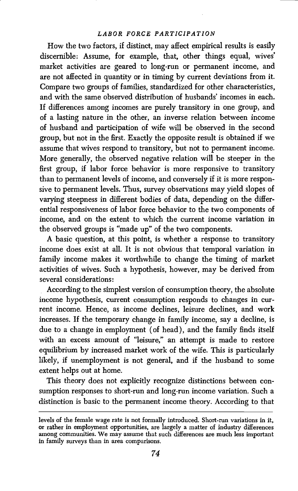#### LABOR FORCE PARTICIPATION

How the two factors, if distinct, may affect empirical results is easily discernible: Assume, for example, that, other things equal, wives' market activities are geared to long-run or permanent income, and are not affected in quantity or in timing by current deviations from it. Compare two groups of families, standardized for other characteristics, and with the same observed distribution of husbands' incomes in each. If differences among incomes are purely transitory in one group, and of a lasting nature in the other, an inverse relation between income of husband and participation of wife will be observed in the second group, but not in the first. Exactly the opposite result is obtained if we assume that wives respond to transitory, but not to permanent income. More generally, the observed negative relation will be steeper in the first group, if labor force behavior is more responsive to transitory than to permanent levels of income, and conversely if it is more responsive to permanent levels. Thus, survey observations may yield slopes of varying steepness in different bodies of data, depending on the differential responsiveness of labor force behavior to the two components of income, and on the extent to which the current income variation in the observed groups is "made up" of the two components.

A basic question, at this point, is whether a response to transitory income does exist at all. It is not obvious that temporal variation in family income makes it worthwhile to change the timing of market activities of wives. Such a hypothesis, however, may be derived from several considerations:

According to the simplest version of consumption theory, the absolute income hypothesis, current consumption responds to changes in current income. Hence, as income declines, leisure declines, and work increases. If the temporary change in family income, say a decline, is due to a change in employment (of head), and the family finds itself with an excess amount of "leisure," an attempt is made to restore equilibrium by increased market work of the wife. This is particularly likely, if unemployment is not general, and if the husband to some extent helps out at home.

This theory does not explicitly recognize distinctions between consumption responses to short-run and long-run income variation. Such a distinction is basic to the permanent income theory. According to that

levels of the female wage rate is not formally introduced. Short-run variations in it, or rather in employment opportunities, are largely a matter of industry differences among communities. We may assume that such differences are much less important in family surveys than in area comparisons.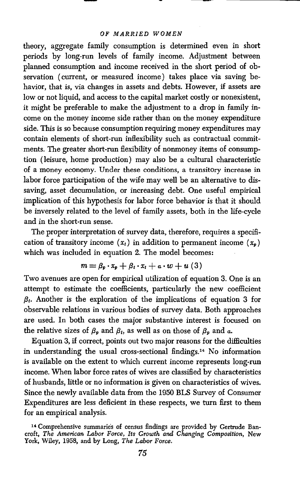theory, aggregate family consumption is determined even in short periods by long-run levels of family income. Adjustment between planned consumption and income received in the short period of observation (current, or measured income) takes place via saving behavior, that is, via changes in assets and debts. However, if assets are low or not liquid, and access to the capital market costly or nonexistent, it might be preferable to make the adjustment to a drop in family income on the money income side rather than on the money expenditure side. This is so because consumption requiring money expenditures may contain elements of short-run inflexibility such as contractual commitments. The greater short-run flexibility of nonmoney items of consumption (leisure, home production) may also be a cultural characteristic of a money economy. Under these conditions, a transitory increase in labor force participation of the wife may well be an alternative to dissaving, asset decumulation, or increasing debt. One useful empirical implication of this hypothesis for labor force behavior is that it should be inversely related to the level of family assets, both in the life-cycle and in the short-run sense.

The proper interpretation of survey data, therefore, requires a specification of transitory income  $(x_t)$  in addition to permanent income  $(x_p)$ which was included in equation 2. The model becomes:

$$
m = \beta_p \cdot x_p + \beta_t \cdot x_t + a \cdot w + u \quad (3)
$$

Two avenues are open for empirical utilization of equation 3. One is an attempt to estimate the coefficients, particularly the new coefficient  $\beta_t$ . Another is the exploration of the implications of equation 3 for observable relations in various bodies of survey data. Both approaches are used. In both cases the major substantive interest is focused on the relative sizes of  $\beta_p$  and  $\beta_t$ , as well as on those of  $\beta_p$  and a.

Equation 3, if correct, points out two major reasons for the difficulties in understanding the usual cross-sectional findings.14 No information is available on the extent to which current income represents long-run income. When labor force rates of wives are classified by characteristics of husbands, little or no information is given on characteristics of wives. Since the newly available data from the 1950 BLS Survey of Consumer Expenditures are less deficient in these respects, we turn first to them for an empirical analysis.

<sup>&</sup>lt;sup>14</sup> Comprehensive summaries of census findings are provided by Gertrude Bancroft, The American Labor Force, Its Growth and Changing Composition, New York, Wiley, 1958, and by Long, The Labor Force.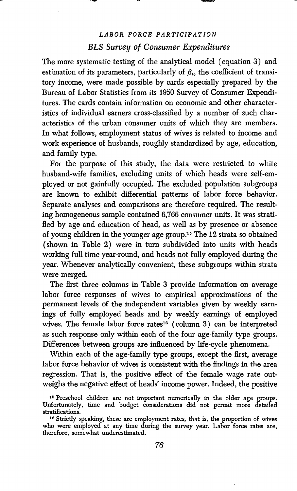### LABOR FORCE PARTICIPATION BLS Survey of Consumer Expenditures

The more systematic testing of the analytical model (equation 3) and estimation of its parameters, particularly of  $\beta_t$ , the coefficient of transitory income, were made possible by cards especially prepared by the Bureau of Labor Statistics from its 1950 Survey of Consumer Expenditures. The cards contain information on economic and other characteristics of individual earners cross-classified by a number of such characteristics of the urban consumer units of which they are members. In what follows, employment status of wives is related to income and work experience of husbands, roughly standardized by age, education, and family type.

For the purpose of this study, the data were restricted to white husband-wife families, excluding units of which heads were self-employed or not gainfully occupied. The excluded population subgroups are known to exhibit differential patterns of labor force behavior. Separate analyses and comparisons are therefore required. The resulting homogeneous sample contained 6,766 consumer units. It was stratified by age and education of head, as well as by presence or absence of young children in the younger age group.15 The 12 strata so obtained (shown in Table 2) were in turn subdivided into units with heads working full time year-round, and heads not fully employed during the year. Whenever analytically convenient, these subgroups within strata were merged.

The first three columns in Table 3 provide information on average labor force responses of wives to empirical approximations of the permanent levels of the independent variables given by weekly earnings of fully employed heads and by weekly earnings of employed wives. The female labor force rates<sup>16</sup> (column 3) can be interpreted as such response only within each of the four age-family type groups. Differences between groups are influenced by life-cycle phenomena.

Within each of the age-family type groups, except the first, average labor force behavior of wives is consistent with the findings in the area regression. That is, the positive effect of the female wage rate outweighs the negative effect of heads' income power. Indeed, the positive

<sup>15</sup> Preschool children are not important numerically in the older age groups. Unfortunately, thne and budget considerations did not permit more detailed stratifications.

<sup>16</sup> Strictly speaking, these are employment rates, that is, the proportion of wives who were employed at any time during the survey year. Labor force rates are, therefore, somewhat underestimated.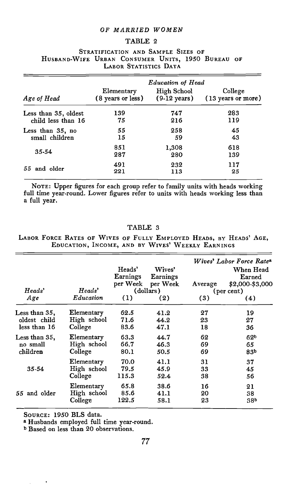#### TABLE 2

|                      |                                 | <b>Education of Head</b> |                                                                |
|----------------------|---------------------------------|--------------------------|----------------------------------------------------------------|
| Age of Head          | Elementary<br>(8 years or less) | High School              | College<br>$(9-12 \text{ years})$ $(13 \text{ years or more})$ |
| Less than 35, oldest | 139                             | 747                      | 283                                                            |
| child less than 16   | 75                              | 216                      | 119                                                            |
| Less than 35, no     | 55                              | 258                      | 45                                                             |
| small children       | 15                              | 59                       | 43                                                             |
|                      | 851                             | 1,308                    | 618                                                            |
| $35 - 54$            | 287                             | 280                      | 139                                                            |
|                      | 491                             | 232                      | 117                                                            |
| 55 and older         | 221                             | 113                      | 25                                                             |

#### STRATIFICATION AND SAMPLE SIZES OF HUSBAND-WIFE URBAN CONSUMER UNITS, 1950 BUREAU OF LABOR STATISTICS DATA

NOTE: Upper figures for each group refer to family units with heads working full time year-round. Lower figures refer to units with heads working less than a full year.

#### TABLE 3

LABOR FORCE RATES OF WiVES OF FULLY EMPLOYED HEADS, BY HEADS' AGE, EDUCATION, INCOME, AND BY WIVES' WEEKLY EARNINGS

|               |                     |                                       |                                |         | Wives' Labor Force Rate <sup>a</sup>   |
|---------------|---------------------|---------------------------------------|--------------------------------|---------|----------------------------------------|
|               |                     | Heads'<br><b>Earnings</b><br>per Week | Wives'<br>Earnings<br>per Week | Average | When Head<br>Earned<br>\$2,000-\$3,000 |
| Heads'<br>Age | Heads'<br>Education |                                       | (dollars)                      |         | (per cent)                             |
|               |                     | (1)                                   | (2)                            | (3)     | (4)                                    |
| Less than 35, | Elementary          | 62.5                                  | 41.2                           | 27      | 19                                     |
| oldest child  | High school         | 71.6                                  | 44.2                           | 23      | 27                                     |
| less than 16  | College             | 83.6                                  | 47.1                           | 18      | 36                                     |
| Less than 35, | Elementary          | 63.3                                  | 44.7                           | 62      | 62 <sup>b</sup>                        |
| no small      | High school         | 66.7                                  | 46.3                           | 69      | 65                                     |
| children      | College             | 80.1                                  | 50.5                           | 69      | 83b                                    |
|               | Elementary          | 70.0                                  | 41.1                           | 31      | 37                                     |
| $35 - 54$     | High school         | 79.5                                  | 45.9                           | 33      | 45                                     |
|               | College             | 115.3                                 | 52.4                           | 38      | 56                                     |
|               | Elementary          | 65.8                                  | 38.6                           | 16      | 21                                     |
| 55 and older  | High school         | 85.6                                  | 41.1                           | 20      | 38                                     |
|               | College             | 122.5                                 | 58.1                           | 23      | 38b                                    |

SOURCE: 1950 BLS data.

 $\bullet$ 

a Husbands employed full time year-round.

**b** Based on less than 20 observations.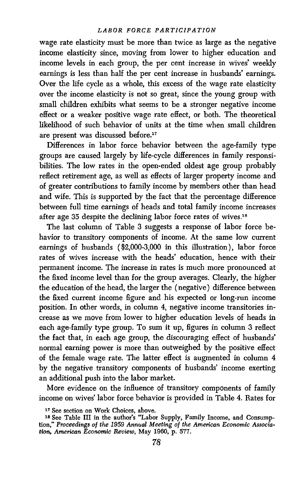#### LABOR FORCE PARTiCIPATION

wage rate elasticity must be more than twice as large as the negative income elasticity since, moving from lower to higher education and income levels in each group, the per cent increase in wives' weekly earnings is less than half the per cent increase in husbands' earnings. Over the life cycle as a whole, this excess of the wage rate elasticity over the income elasticity is not so great, since the young group with small children exhibits what seems to be a stronger negative income effect or a weaker positive wage rate effect, or both. The theoretical likelihood of such behavior of units at the time when small children are present was discussed before.<sup>17</sup>

Differences in labor force behavior between the age-family type groups are caused largely by life-cycle differences in family responsibilities. The low rates in the open-ended oldest age group probably reflect retirement age, as well as effects of larger property income and of greater contributions to family income by members other than head and wife. This is supported by the fact that the percentage difference between full time earnings of heads and total family income increases after age 35 despite the declining labor force rates of wives.18

The last column of Table 3 suggests a response of labor force behavior to transitory components of income. At the same low current earnings of husbands (\$2,000-3,000 in this illustration), labor force rates of wives increase with the heads' education, hence with their permanent income. The increase in rates is much more pronounced at the fixed income level than for the group averages. Clearly, the higher the education of the head, the larger the (negative) difference between the fixed current income figure and his expected or long-run income position. In other words, in column 4, negative income transitories increase as we move from lower to higher education levels of heads in each age-family type group. To sum it up, figures in column 3 reflect the fact that, in each age group, the discouraging effect of husbands' normal earning power is more than outweighed by the positive effect of the female wage rate. The latter effect is augmented in column 4 by the negative transitory components of husbands' income exerting an additional push into the labor market.

More evidence on the influence of transitory components of family income on wives' labor force behavior is provided in Table 4. Rates for

<sup>17</sup> See section on Work Choices, above.

<sup>18</sup> See Table III in the author's "Labor Supply, Family Income, and Consumption," Proceedings of the 1959 Annual Meeting of the American Economic Association, American Economic Review, May 1960, p. 577.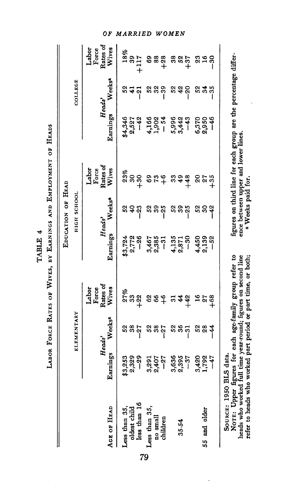| Wives<br>Labor<br>Force<br>18%<br>39<br>69<br>$+28$<br>38<br>30<br>$+117$<br>88<br>52<br>$+37$<br>$\mathbf{a}$<br>16<br>Weeksa<br><b>889</b><br>S 9<br>$\overline{6}$<br>32<br>53<br>35<br>$rac{1}{2}$<br>Heads'<br>Earnings<br>\$4,346<br>4,166<br>5,996<br>3,442<br>6,370<br>2,950<br>$-46$<br>$-42$<br>1,902<br>$-54$<br>$-43$<br>2,527<br>Rates of<br>Labor<br>Force<br>Wives<br>23%<br>$\boldsymbol{S}$<br>$+30$<br>874<br>33<br>49<br>$+48$<br>$\boldsymbol{S}$<br>$+35$<br>$\overline{2}$<br>Weeksa<br>$\mathbf{f}$<br>$52\,$<br>$-25$<br>32<br>39<br>32<br>$-23$<br>39<br>$-25$<br>$\frac{5}{2}$<br>္တ<br><u>ञ्</u><br>Heads'<br>Earnings<br>2,772<br>$-30$<br>$4,450$<br>2,139<br>\$3,724<br>$-26$<br>4,135<br>3,467<br>2,385<br>-52<br>2,871<br>$-31$<br>Rates of<br>Labor<br>Force<br>Wives<br>27%<br>33<br>$+22$<br>884<br>$\frac{16}{27}$<br>$\boldsymbol{4}$<br>$+42$<br>$+68$<br>51 | ELEMENTARY                                   |  | HIGH SCHOOL |  | COLLEGE |          |
|----------------------------------------------------------------------------------------------------------------------------------------------------------------------------------------------------------------------------------------------------------------------------------------------------------------------------------------------------------------------------------------------------------------------------------------------------------------------------------------------------------------------------------------------------------------------------------------------------------------------------------------------------------------------------------------------------------------------------------------------------------------------------------------------------------------------------------------------------------------------------------------------------|----------------------------------------------|--|-------------|--|---------|----------|
|                                                                                                                                                                                                                                                                                                                                                                                                                                                                                                                                                                                                                                                                                                                                                                                                                                                                                                    |                                              |  |             |  |         |          |
|                                                                                                                                                                                                                                                                                                                                                                                                                                                                                                                                                                                                                                                                                                                                                                                                                                                                                                    | Weeksa<br>Heads'                             |  |             |  |         | Rates of |
|                                                                                                                                                                                                                                                                                                                                                                                                                                                                                                                                                                                                                                                                                                                                                                                                                                                                                                    | $38 - 27$<br>52                              |  |             |  |         |          |
|                                                                                                                                                                                                                                                                                                                                                                                                                                                                                                                                                                                                                                                                                                                                                                                                                                                                                                    | 52<br>38                                     |  |             |  |         |          |
|                                                                                                                                                                                                                                                                                                                                                                                                                                                                                                                                                                                                                                                                                                                                                                                                                                                                                                    | $-27$                                        |  |             |  |         |          |
|                                                                                                                                                                                                                                                                                                                                                                                                                                                                                                                                                                                                                                                                                                                                                                                                                                                                                                    | 32<br>36<br>$-31$                            |  |             |  |         |          |
|                                                                                                                                                                                                                                                                                                                                                                                                                                                                                                                                                                                                                                                                                                                                                                                                                                                                                                    | $\mathbf{S}^{\mathbf{Q}}$<br>$^{8}$<br>$-44$ |  |             |  |         |          |

79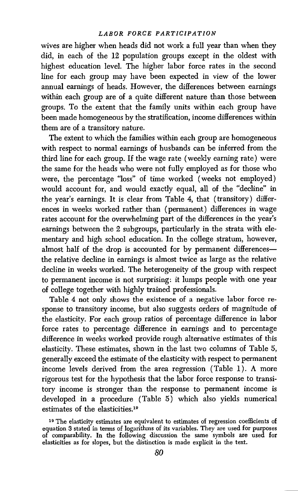#### LABOR FORCE PARTiCIPATiON

wives are higher when heads did not work a full year than when they did, in each of the 12 population groups except in the oldest with highest education level. The higher labor force rates in the second line for each group may have been expected in view of the lower annual earnings of heads. However, the differences between earnings within each group are of a quite different nature than those between groups. To the extent that the family units within each group have been made homogeneous by the stratffication, income differences within them are of a transitory nature.

The extent to which the families within each group are homogeneous with respect to normal earnings of husbands can be inferred from the third line for each group. If the wage rate (weekly earning rate) were the same for the heads who were not fully employed as for those who were, the percentage "loss" of time worked (weeks not employed) would account for, and would exactly equal, all of the "decline" in the year's earnings. It is clear from Table 4, that (transitory) differences in weeks worked rather than (permanent) differences in wage rates account for the overwhelming part of the differences in the year's earnings between the 2 subgroups, particularly in the strata with elementary and high school education. In the college stratum, however, almost half of the drop is accounted for by permanent differences the relative decline in earnings is almost twice as large as the relative decline in weeks worked. The heterogeneity of the group with respect to permanent income is not surprising: it lumps people with one year of college together with highly trained professionals.

Table 4 not only shows the existence of a negative labor force response to transitory income, but also suggests orders of magnitude of the elasticity. For each group ratios of percentage difference in labor force rates to percentage difference in earnings and to percentage difference in weeks worked provide rough alternative estimates of this elasticity. These estimates, shown in the last two columns of Table 5, generally exceed the estimate of the elasticity with respect to permanent income levels derived from the area regression (Table 1). A more rigorous test for the hypothesis that the labor force response to transitory income is stronger than the response to permanent income is developed in a procedure (Table 5) which also yields numerical estimates of the elasticities.<sup>19</sup>

<sup>19</sup> The elasticity estimates are equivalent to estimates of regression coefficients of equation 3 stated in terms of logarithms of its variables. They are used for purposes of comparability. In the following discussion the same symbols are used for elasticities as for slopes, but the distinction is made explicit in the text.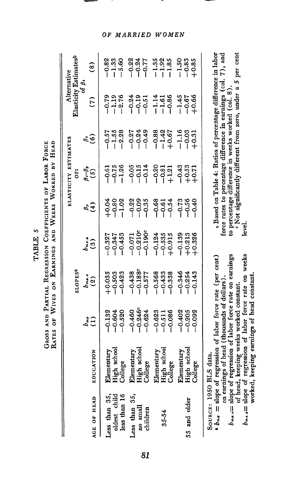| г |  |
|---|--|
|   |  |
|   |  |

TABLE 5<br>Gross and Partial Regression Coefficients of Labor Force<br>Rates of Wives on Earnings and Weeks Worked by Head

|                        |                                                                                                                      |           |                                     |                                                |          | ELASTICITY ESTIMATES                                   |                                                   | Alternative                                                                                                                           |                       |
|------------------------|----------------------------------------------------------------------------------------------------------------------|-----------|-------------------------------------|------------------------------------------------|----------|--------------------------------------------------------|---------------------------------------------------|---------------------------------------------------------------------------------------------------------------------------------------|-----------------------|
|                        |                                                                                                                      |           | <b>SLOPES<sup>a</sup></b>           |                                                |          | ö                                                      |                                                   | Elasticity Estimatesb                                                                                                                 |                       |
| AGE OF HEAD            | EDUCATION                                                                                                            | ίJ        | $b_{max}$<br>$\widehat{\mathbf{S}}$ | $b_{max}$<br>$\widehat{c}$                     | <u>न</u> | $\begin{pmatrix} \beta_i - \beta_p \\ 5 \end{pmatrix}$ | ૡ૽ૼૺૺૺ                                            | of 8.<br>ί                                                                                                                            | $\widehat{e}$         |
|                        |                                                                                                                      |           |                                     |                                                |          |                                                        |                                                   |                                                                                                                                       |                       |
| Less than 35.          | Elementary                                                                                                           | $-0.132$  | $+0.035$                            | $-0.327$                                       | $+0.04$  | $-0.61$                                                | $-0.57$                                           | $-0.79$                                                                                                                               | $-0.82$               |
| oldest child           | High school                                                                                                          | $-0.604$  | $-0.503$                            | $-0.347$                                       | $-0.80$  | $-0.75$                                                | $-1.55$                                           |                                                                                                                                       | $-1.33$               |
| less than 16           | College                                                                                                              | $-0.520$  | $-0.423$                            | $-0.453$                                       | $-1.02$  | $-1.26$                                                | $-2.28$                                           | $-1.19$<br>$-2.76$                                                                                                                    | $-5.60$               |
| Less than 35,          | Elementary                                                                                                           | $-0.460$  | $-0.438$                            | $-0.071$                                       | $-0.22$  | $-0.05$                                                | $-0.27$                                           | $-0.24$                                                                                                                               | $-0.22$               |
| no small               |                                                                                                                      | $-0.246c$ | $-0.188c$                           |                                                | $-0.09$  | $-0.15$                                                | $-0.24$                                           |                                                                                                                                       | $-0.77$               |
| children               | High school<br>College                                                                                               | $-0.624$  | $-0.577$                            | $-0.210$ <sup>c</sup><br>$-0.190$ <sup>c</sup> | $-0.35$  | $-0.14$                                                | $-0.49$                                           | $-0.19$<br>$-0.51$                                                                                                                    |                       |
|                        | Elementary                                                                                                           | $-0.623$  | $-0.568$                            | $-0.124$                                       | $-0.68$  | $-0.20$                                                |                                                   |                                                                                                                                       |                       |
| 35-54                  |                                                                                                                      | $-0.51$ ] | $-0.433$                            |                                                | $-0.61$  | $-0.81$                                                |                                                   | $-1.14$<br>$-1.61$<br>$-0.86$                                                                                                         | $\frac{-1.35}{-1.32}$ |
|                        | High school<br>College                                                                                               | $-0.086$  | $-0.338$                            | $-0.535$<br>+0.915                             | $-0.54$  | $+1.21$                                                | $-0.88$<br>$-1.42$<br>$+0.67$                     |                                                                                                                                       |                       |
|                        | Elementary                                                                                                           | $-0.402$  | $-0.346$                            | $-0.139$                                       | $-0.73$  | $-0.43$                                                | $-1.16$                                           |                                                                                                                                       | $-1.50$               |
| 55 and older           | High school                                                                                                          | $-0.205$  | $-0.254$                            | $+0.213$                                       | $-0.56$  | $+0.53$                                                | $-0.03$                                           | $-1.45$<br>-0.67                                                                                                                      | $-0.83$               |
|                        | College                                                                                                              | $-0.092$  | $-0.143$                            | $+0.326$                                       | $-0.40$  | $-0.71$                                                | $^{+0.31}_{-0.31}$                                | $+0.66$                                                                                                                               | $+0.85$               |
| SOURCE: 1950 BLS data. |                                                                                                                      |           |                                     |                                                |          |                                                        |                                                   |                                                                                                                                       |                       |
|                        | a b <sub>ms</sub> = slope of regression of labor force rate (per cent)<br>on earnings of head (thousands of dollars) |           |                                     |                                                |          |                                                        |                                                   | <b>b</b> Based on Table 4: Ratios of percentage difference in labor<br>force rates to percentage difference in earnings (col. 7), and |                       |
|                        | $b_{\text{max}} =$ slope of regression of labor force rate on earnings                                               |           |                                     |                                                |          |                                                        | to percentage difference in weeks worked (col. 8) |                                                                                                                                       |                       |
|                        | of head, keeping weeks worked constant                                                                               |           |                                     |                                                |          |                                                        |                                                   | · Not significantly different from zero, under a 5 per cent                                                                           |                       |
|                        | bme.= slope of regression of labor force rate on weeks                                                               |           |                                     | level                                          |          |                                                        |                                                   |                                                                                                                                       |                       |
|                        | worked, keeping earnings of head constant.                                                                           |           |                                     |                                                |          |                                                        |                                                   |                                                                                                                                       |                       |

 $b_{m,s}$  = slope of regression of labor force rate (per cent) on earnings of head (thousands of dollars).<br>  $b_{m,s} =$  slope of regression of labor force rate on earnings<br>
of head, keeping weeks worked constant.<br>  $b_{m,s} =$  slope of regression of labor force rate on weeks<br>
worked, keepin  $\hat{b}_{n_n}$  = slope of regression of labor force rate (per cent) b. Based on Table 4: Ratios of percentage difference in labor on earnings of head (thousands of dollars). force rates to percentage difference in earnings (c

#### $\Omega$ F MARRIED WOMEN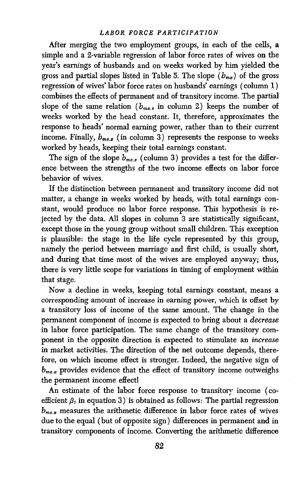#### LABOR FORCE PARTICIPATION

After merging the two employment groups, in each of the cells, a simple and a 2-variable regression of labor force rates of wives on the year's earnings of husbands and on weeks worked by him yielded the gross and partial slopes listed in Table 5. The slope  $(b_{mx})$  of the gross regression of wives' labor force rates on husbands' earnings (column 1) combines the effects of permanent and of transitory income. The partial slope of the same relation  $(b_{mx,e}$  in column 2) keeps the number of weeks worked by the head constant. It, therefore, approximates the response to heads' normal earning power, rather than to their current income. Finally,  $b_{me,x}$  (in column 3) represents the response to weeks worked by heads, keeping their total earnings constant.

The sign of the slope  $b_{me,x}$  (column 3) provides a test for the difference between the strengths of the two income effects on labor force behavior of wives.

If the distinction between permanent and transitory income did not matter, a change in weeks worked by heads, with total earnings constant, would produce no labor force response. This hypothesis is rejected by the data. All slopes in column 3 are statistically significant, except those in the young group without small children. This exception is plausible: the stage in the life cycle represented by this group, namely the period between marriage and first child, is usually short, and during that time most of the wives are employed anyway; thus, there is very little scope for variations in timing of employment within that stage.

Now a decline in weeks, keeping total earnings constant, means a corresponding amount of increase in earning power, which is offset by a transitory loss of income of the same amount. The change in the permanent component of income is expected to bring about a decrease in labor force participation. The same change of the transitory component in the opposite direction is expected to stimulate an *increase* in market activities. The direction of the net outcome depends, therefore, on which income effect is stronger. Indeed, the negative sign of  $b_{me.x}$  provides evidence that the effect of transitory income outweighs the permanent income effect!

An estimate of the labor force response to transitory income (coefficient  $\beta_t$  in equation 3) is obtained as follows: The partial regression  $b_{me,x}$  measures the arithmetic difference in labor force rates of wives due to the equal (but of opposite sign) differences in permanent and in transitory components of income. Converting the arithmetic difference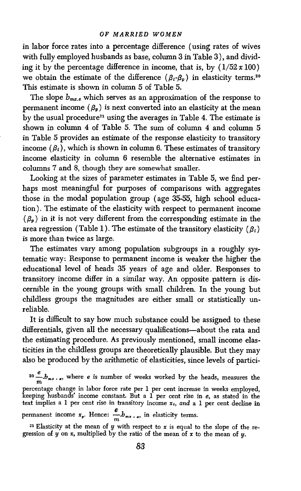in labor force rates into a percentage difference (using rates of wives with fully employed husbands as base, column 3 in Table 3), and dividing it by the percentage difference in income, that is, by  $(1/52 x 100)$ we obtain the estimate of the difference  $(\beta_t - \beta_q)$  in elasticity terms.<sup>20</sup> This estimate is shown in column 5 of Table 5.

The slope  $b_{\mathit{mx,e}}$  which serves as an approximation of the response to permanent income  $(\beta_p)$  is next converted into an elasticity at the mean by the usual procedure<sup>21</sup> using the averages in Table 4. The estimate is shown in column 4 of Table 5. The sum of column 4 and column 5 in Table 5 provides an estimate of the response elasticity to transitory income  $(\beta_t)$ , which is shown in column 6. These estimates of transitory income elasticity in column 6 resemble the alternative estimates in columns 7 and 8, though they are somewhat smaller.

Looking at the sizes of parameter estimates in Table 5, we find perhaps most meaningful for purposes of comparisons with aggregates those in the modal population group (age 35-55, high school education). The estimate of the elasticity with respect to permanent income  $(\beta_p)$  in it is not very different from the corresponding estimate in the area regression (Table 1). The estimate of the transitory elasticity ( $\beta_t$ ) is more than twice as large.

The estimates vary among population subgroups in a roughly systematic way: Response to permanent income is weaker the higher the educational level of heads 35 years of age and older. Responses to transitory income differ in a similar way. An opposite pattern is discernible in the young groups with small children. In the young but childless groups the magnitudes are either small or statistically unreliable.

It is difficult to say how much substance could be assigned to these differentials, given all the necessary qualifications—about the rata and the estimating procedure. As previously mentioned, small income elasticities in the childless groups are theoretically plausible. But they may also be produced by the arithmetic of elasticities, since levels of partici-

 $\frac{e}{m}$ .  $b_{m}$ ..., where e is number of weeks worked by the heads, measures the percentage change in labor force rate per 1 per cent increase in weeks employed, keeping husbands' income constant. But a  $1$  per cent rise in  $e$ , as stated in the text implies a 1 per cent rise in transitory income  $x_t$ , and a 1 per cent decline in permanent income  $x_p$ . Hence:  $\frac{e}{m}b_{me}$ . , in elasticity terms.

<sup>21</sup> Elasticity at the mean of y with respect to x is equal to the slope of the regression of y on x, multiplied by the ratio of the mean of x to the mean of y.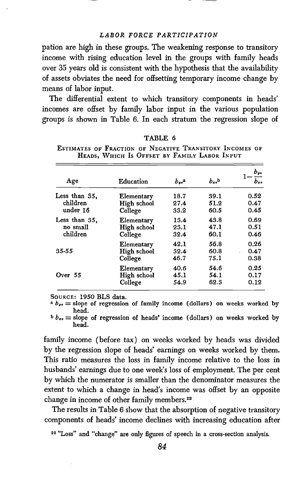#### LABOR FORCE PARTICIPATiON

pation are high in these groups. The weakening response to transitory income with rising education level in the groups with family heads over 35 years old is consistent with the hypothesis that the availability of assets obviates the need for offsetting temporary income change by means of labor input.

The differential extent to which transitory components in heads' incomes are offset by family labor input in the various population groups is shown in Table 6. In each stratum the regression slope of

|               |             |             |            | $b_{\nu}$ |
|---------------|-------------|-------------|------------|-----------|
| Age           | Education   | $b_{\nu}$ a | $b_{xx}$ b | b         |
| Less than 35, | Elementary  | 18.7        | 39.1       | 0.52      |
| children      | High school | 27.4        | 51.2       | 0.47      |
| under 16      | College     | 33.2        | 60.5       | 0.45      |
| Less than 35, | Elementary  | 13.4        | 43.8       | 0.69      |
| no small      | High school | 23.1        | 47.1       | 0.51      |
| children      | College     | 32.4        | 60.1       | 0.46      |
|               | Elementary  | 42.1        | 56.8       | 0.26      |
| $35 - 55$     | High school | 32.4        | 60.8       | 0.47      |
|               | College     | 46.7        | 75.1       | 0.38      |
|               | Elementary  | 40.6        | 54.6       | 0.25      |
| Over $55$     | High school | 45.1        | 54.1       | 0.17      |
|               | College     | 54.9        | 62.3       | 0.12      |

TABLE 6

ESTIMATES OF FRACTION OF NEGATIVE TRANSITORY INCOMES OF HEADS, WHICH IS OFFSET BY FAMILY LABOR INPUT

SOURCE: 1950 BLS data.<br><sup>a</sup> b<sub>y</sub>, = slope of regression of family income (dollars) on weeks worked by head.

 $b_{x_0}$  = slope of regression of heads' income (dollars) on weeks worked by head.

family income (before tax) on weeks worked by heads was divided by the regression slope of heads' earnings on weeks worked by them. This ratio measures the loss in family income relative to the loss in husbands' earnings due to one week's loss of employment. The per cent by which the numerator is smaller than the denominator measures the extent to which a change in head's income was offset by an opposite change in income of other family members.<sup>22</sup>

The results in Table 6 show that the absorption of negative transitory components of heads' income declines with increasing education after

22 "Loss" and "change" are only figures of speech in a cross-section analysis.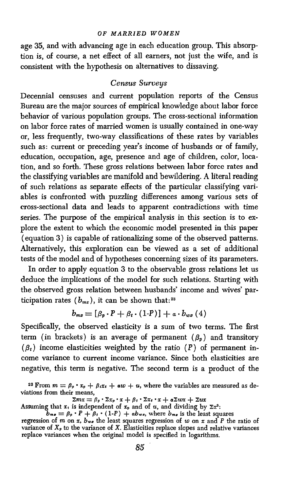age 35, and with advancing age in each education group. This absorption is, of course, a net effect of all earners, not just the wife, and is consistent with the hypothesis on alternatives to dissaving.

#### Census Surveys

Decennial censuses and current population reports of the Census Bureau are the major sources of empirical knowledge about labor force behavior of various population groups. The cross-sectional information on labor force rates of married women is usually contained in one-way or, less frequently, two-way classifications of these rates by variables such as: current or preceding year's income of husbands or of family, education, occupation, age, presence and age of children, color, location, and so forth. These gross relations between labor force rates and the classifying variables are manifold and bewildering. A literal reading of such relations as separate effects of the particular classifying variables is confronted with puzzling differences among various sets of cross-sectional data and leads to apparent contradictions with lime series. The purpose of the empirical analysis in this section is to explore the extent to which the economic model presented in this paper (equation 3) is capable of rationalizing some of the observed patterns. Alternatively, this exploration can be viewed as a set of additional tests of the model and of hypotheses concerning sizes of its parameters.

In order to apply equation 3 to the observable gross relations let us deduce the implications of the model for such relations. Starting with the observed gross relation between husbands' income and wives' participation rates  $(b_{mx})$ , it can be shown that:<sup>28</sup>

$$
b_{\mathit{m}{\mathit{x}}} = [\beta_{\mathit{p}} \cdot P + \beta_{\mathit{t}} \cdot (1\text{-}P)] + a \cdot b_{\mathit{w}{\mathit{x}}}\ (4)
$$

Specifically, the observed elasticity is a sum of two terms. The first term (in brackets) is an average of permanent  $(\beta_p)$  and transitory  $(\beta_t)$  income elasticities weighted by the ratio (P) of permanent income variance to current income variance. Since both elasticities are negative, this term is negative. The second term is a product of the

<sup>23</sup> From  $m = \beta_p \cdot x_p + \beta_i x_i + a w + u$ , where the variables are measured as deviations from their means,

 $\sum mx = \beta_p \cdot \sum x_p \cdot x + \beta_t \cdot \sum x_t \cdot x + a \sum wx + \sum ux$ 

Assuming that  $x_i$ , is independent of  $x_p$  and of  $u$ , and dividing by  $\Sigma x^2$ :

 $b_{\mathbf{m}\mathbf{s}} = \beta_{\mathbf{p}} \cdot P + \beta_{\mathbf{f}} \cdot (1-P) + ab_{\mathbf{w}\mathbf{s}}$ , where  $b_{\mathbf{m}\mathbf{s}}$  is the least squares regression of m on x,  $b_{\omega s}$  the least squares regression of w on x and P the ratio of variance of  $X_p$  to the variance of X. Elasticities replace slopes and relative variances replace variances when the original model is specified in logarithms.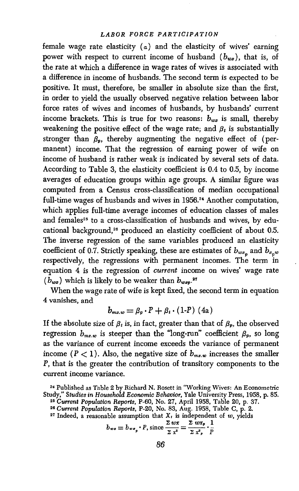#### LABOR FORCE PARTICIPATiON

female wage rate elasticity  $(a)$  and the elasticity of wives' earning power with respect to current income of husband  $(b_{wx})$ , that is, of the rate at which a difference in wage rates of wives is associated with a difference in income of husbands. The second term is expected to be positive. It must, therefore, be smaller in absolute size than the first, in order to yield the usually observed negative relation between labor force rates of wives and incomes of husbands, by husbands' current income brackets. This is true for two reasons:  $b_{w}$  is small, thereby weakening the positive effect of the wage rate; and  $\beta_t$  is substantially stronger than  $\beta_p$ , thereby augmenting the negative effect of (permanent) income. That the regression of earning power of wife on income of husband is rather weak is indicated by several sets of data. According to Table 3, the elasticity coefficient is 0.4 to 0.5, by income averages of education groups within age groups. A similar figure was computed from a Census cross-classification of median occupational full-time wages of husbands and wives in 1956.<sup>24</sup> Another computation, which applies full-time average incomes of education classes of males and females<sup>25</sup> to a cross-classification of husbands and wives, by educational background,<sup>26</sup> produced an elasticity coefficient of about 0.5. The inverse regression of the same variables produced an elasticity coefficient of 0.7. Strictly speaking, these are estimates of  $b_{wx}$  and  $b_{x}$ respectively, the regressions with permanent incomes. The term in equation 4 is the regression of current income on wives' wage rate  $(b_{wx})$  which is likely to be weaker than  $b_{wxp}$ .<sup>27</sup>

When the wage rate of wife is kept fixed, the second term in equation 4 vanishes, and

$$
b_{mx,w} = \beta_p \cdot P + \beta_t \cdot (1-P) \ (4a)
$$

If the absolute size of  $\beta_t$  is, in fact, greater than that of  $\beta_p,$  the observed regression  $b_{\scriptscriptstyle m\alpha\ldots\omega}$  is steeper than the "long-run" coefficient  $\beta_{\scriptscriptstyle p}$ , so long as the variance of current income exceeds the variance of permanent income ( $P < 1$ ). Also, the negative size of  $b_{mx,w}$  increases the smaller P, that is the greater the contribution of transitory components to the current income variance.

24 Published as Table 2 by Richard N. Rosett in "Working Wives: An Econometric Study," Studies in Household Economic Behavior, Yale University Press, 1958, p. 85. <sup>25</sup> Current Population Reports, P-60, No. 27, April 1958, Table 20, p. 37. <sup>26</sup> Current Population Reports, P-20, No. 83, Aug. 1958, Table C, p. 2. <sup>27</sup> Indeed, a reasonable assumption that X, is independent of w, yields

$$
b_{ws} = b_{ws_p} \cdot P, \text{ since } \frac{\sum wx_p}{\sum x^a} = \frac{\sum wx_p}{\sum x^a_p} \cdot \frac{1}{P}
$$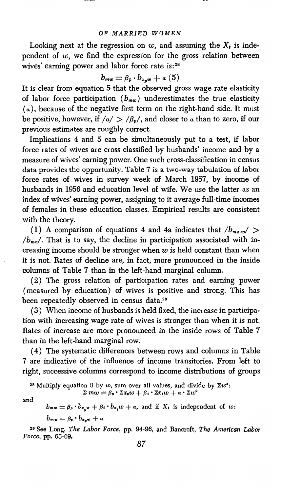Looking next at the regression on  $w$ , and assuming the  $X_t$  is independent of  $w$ , we find the expression for the gross relation between wives' earning power and labor force rate is:<sup>28</sup>

$$
b_\textit{mw} = \beta_{\textit{p}} \cdot b_\textit{x}_\textit{p} w + a \ (5)
$$

It is clear from equation 5 that the observed gross wage rate elasticity of labor force participation  $(b_\mathit{mw})$  underestimates the true elasticity (a), because of the negative first term on the right-hand side. It must be positive, however, if  $/a$  >  $/\beta_p$ , and closer to a than to zero, if our previous estimates are roughly correct.

Implications 4 and 5 can be simultaneously put to a test, if labor force rates of wives are cross classified by husbands' income and by a measure of wives' earning power. One such cross-classification in census data provides the opportunity. Table 7 is a two-way tabulation of labor force rates of wives in survey week of March 1957, by income of husbands in 1956 and education level of wife. We use the latter as an index of wives' earning power, assigning to it average full-time incomes of females in these education classes. Empirical results are consistent with the theory.

(1) A comparison of equations 4 and 4a indicates that  $/b_{\textit{max}, \omega}/>$  $/b_{\textit{max}}$ . That is to say, the decline in participation associated with increasing income should be stronger when  $w$  is held constant than when it is not. Rates of decline are, in fact, more pronounced in the inside columns of Table 7 than in the left-hand marginal column.

(2) The gross relation of participation rates and earning power (measured by education) of wives is positive and strong. This has been repeatedly observed in census data.<sup>29</sup>

(3) When income of husbands is held fixed, the increase in participation with increasing wage rate of wives is stronger than when it is not. Rates of increase are more pronounced in the inside rows of Table 7 than in the left-hand marginal row.

(4) The systematic differences between rows and columns in Table 7 are indicative of the influence of income transitories. From left to right, successive columns correspond to income distributions of groups

<sup>28</sup> Multiply equation 3 by w, sum over all values, and divide by  $\Sigma w^{\bullet}$ :<br> $\Sigma mw = \beta_p \cdot \Sigma x_p w + \beta_i \cdot \Sigma x_i w + a \cdot \Sigma w^2$ 

and

$$
b_{\mathbf{w}\mathbf{w}} = \beta_{\mathbf{p}} \cdot b_{\mathbf{z}_{\mathbf{p}}\mathbf{w}} + \beta_{\mathbf{f}} \cdot b_{\mathbf{z}_{\mathbf{p}}} w + a, \text{ and if } X_{\mathbf{f}} \text{ is independent of } w:
$$

$$
b_{\mathbf{m}\cdot\mathbf{w}}=\beta_{\mathbf{p}}\cdot b_{\mathbf{e}_{\mathbf{p}}\cdot\mathbf{w}}+\alpha
$$

29 See Long, The Labor Force, pp. 94-96, and Bancroft, The American Labor Force, pp. 65-69.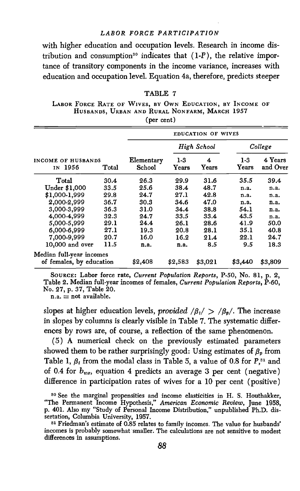#### LABOR FORCE PARTICiPATION

with higher education and occupation levels. Research in income distribution and consumption<sup>80</sup> indicates that  $(1-P)$ , the relative importance of transitory components in the income variance, increases with education and occupation level. Equation 4a, therefore, predicts steeper

#### TABLE 7

LABOR FORCE RATE OF WIVES, BY OWN EDUCATION, BY INCOME OF HUSBANDS, URBAN AND RURAL NONFARM, MARCH 1957

|                               |       |                      |                | <b>EDUCATION OF WIVES</b> |                |                     |
|-------------------------------|-------|----------------------|----------------|---------------------------|----------------|---------------------|
|                               |       |                      |                | High School               |                | College             |
| INCOME OF HUSBANDS<br>IN 1956 | Total | Elementary<br>School | $1-3$<br>Years | 4<br>Years                | $1-3$<br>Years | 4 Years<br>and Over |
| Total                         | 30.4  | 26.3                 | 29.9           | 31.6                      | 35.5           | 39.4                |
| Under \$1,000                 | 33.5  | 25.6                 | 38.4           | 48.7                      | n.a.           | n.a.                |
| \$1,000-1,999                 | 29.8  | 24.7                 | 27.1           | 42.8                      | n.a.           | n.a.                |
| 2,000-2,999                   | 36.7  | 30.3                 | 34.6           | 47.0                      | n.a.           | n.a.                |
| 3,000-3,999                   | 36.3  | 31.0                 | 34.4           | 38.8                      | 54.1           | n.a.                |
| 4,000-4,999                   | 32.3  | 24.7                 | 33.5           | 33.4                      | 43.5           | n.a.                |
| 5,000-5,999                   | 29.1  | 24.4                 | 26.1           | 28.6                      | 41.9           | 50.0                |
| 6,000-6,999                   | 27.1  | 19.3                 | 20.8           | 28.1                      | 35.1           | 40.8                |
| 7,000-9,999                   | 20.7  | 16.0                 | 16.2           | 21.4                      | 22.1           | 24.7                |
| $10,000$ and over             | 11.5  | n.a.                 | n.a.           | 8.5                       | 9.5            | 18.3                |
| Median full-year incomes      |       |                      |                |                           |                |                     |
| of females, by education      |       | \$2,408              | \$2,583        | \$3,021                   | \$3,440        | \$3,809             |

SOURCE: Labor force rate, Current Population Reports, P-50, No. 81, p. 2, Table 2. Median full-year incomes of females, Current Population Reports, P-60, No. 27, p. 37, Table 20.

 $n.a.$   $=$  not available.

slopes at higher education levels, *provided*  $/\beta_t / > /\beta_p$ . The increase in slopes by columns is clearly visible in Table 7. The systematic differences by rows are, of course, a reflection of the same phenomenon.

(5) A numerical check on the previously estimated parameters showed them to be rather surprisingly good: Using estimates of  $\beta_p$  from Table 1,  $\beta_t$  from the modal class in Table 5, a value of 0.8 for  $P,$ <sup>31</sup> and of 0.4 for  $b_{wx}$ , equation 4 predicts an average 3 per cent (negative) difference in participation rates of wives for a 10 per cent (positive)

<sup>&</sup>lt;sup>80</sup> See the marginal propensities and income elasticities in H. S. Houthakker, "The Permanent Income Hypothesis," American Economic Review, June 1958, p. 401. Also my "Study of Personal Income Distribution," unpublished Ph.D. dissertation, Columbia University, 1957.

<sup>81</sup> Friedman's estimate of 0.85 relates to family incomes. The value for husbands' incomes is probably somewhat smaller. The calculations are not sensitive to modest differences in assumptions.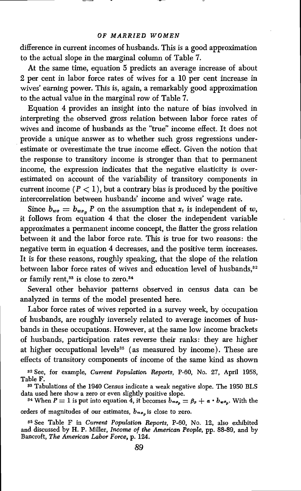difference in current incomes of husbands. This is a good approximation to the actual slope in the marginal column of Table 7.

At the same time, equation 5 predicts an average increase of about 2 per cent in labor force rates of wives for a 10 per cent increase in wives' earning power. This is, again, a remarkably good approximation to the actual value in the marginal row of Table 7.

Equation 4 provides an insight into the nature of bias involved in interpreting the observed gross relation between labor force rates of wives and income of husbands as the "true" income effect. It does not provide a unique answer as to whether such gross regressions underestimate or overestimate the true income effect. Given the notion that the response to transitory income is stronger than that to permanent income, the expression indicates that the negative elasticity is overestimated on account of the variability of transitory components in current income  $(P < 1)$ , but a contrary bias is produced by the positive intercorrelation between husbands' income and wives' wage rate.

Since  $b_{wx} = b_{wx_p}$  P on the assumption that  $x_t$  is independent of w, it follows from equation 4 that the closer the independent variable approximates a permanent income concept, the flatter the gross relation between it and the labor force rate. This is true for two reasons: the negative term in equation 4 decreases, and the positive term increases. It is for these reasons, roughly speaking, that the slope of the relation between labor force rates of wives and education level of husbands,<sup>32</sup> or family rent,<sup>33</sup> is close to zero.<sup>34</sup>

Several other behavior patterns observed in census data can be analyzed in terms of the model presented here.

Labor force rates of wives reported in a survey week, by occupation of husbands, are roughly inversely related to average incomes of husbands in these occupations. However, at the same low income brackets of husbands, participation rates reverse their ranks: they are higher at higher occupational levels<sup>35</sup> (as measured by income). These are effects of transitory components of income of the same kind as shown

<sup>32</sup> See, for example, Current Population Reports, P-60, No. 27, April 1958, Table F.

<sup>33</sup> Tabulations of the 1940 Census indicate a weak negative slope. The 1950 BLS data used here show a zero or even slightly positive slope.<br><sup>34</sup> When  $P = 1$  is put into equation 4, it becomes  $b_{m s_p} = \beta_p + a \cdot b_{w s_p}$ . With the

orders of magnitudes of our estimates,  $b_{m x_p}$  is close to zero.

See Table F in Current Population Reports, P-GO, No. 12, also exhibited and discussed by H. P. Miller, *Income of the American People*, pp. 88-89, and by Bancroft, The American Labor Force, p. 124.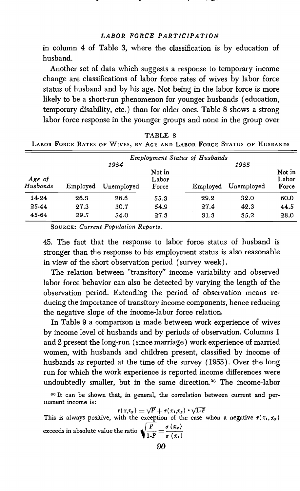#### LABOR FORCE PARTICIPATION

in column 4 of Table 3, where the classffication is by education of husband.

Another set of data which suggests a response to temporary income change are classifications of labor force rates of wives by labor force status of husband and by his age. Not being in the labor force is more likely to be a short-run phenomenon for younger husbands (education, labor force response in the younger groups and none in the group over

| TABLE 8                                                               |  |
|-----------------------------------------------------------------------|--|
| LABOR FORCE RATES OF WIVES, BY AGE AND LABOR FORCE STATUS OF HUSBANDS |  |

| temporary disability, etc.) than for older ones. Table 8 shows a strong<br>labor force response in the younger groups and none in the group over<br>TABLE 8<br>LABOR FORCE RATES OF WIVES, BY AGE AND LABOR FORCE STATUS OF HUSBANDS<br><b>Employment Status of Husbands</b><br>1954<br>Not in |          |            |                |          |            |                |
|------------------------------------------------------------------------------------------------------------------------------------------------------------------------------------------------------------------------------------------------------------------------------------------------|----------|------------|----------------|----------|------------|----------------|
|                                                                                                                                                                                                                                                                                                |          |            |                |          |            |                |
|                                                                                                                                                                                                                                                                                                |          |            |                |          |            |                |
|                                                                                                                                                                                                                                                                                                |          |            |                |          |            |                |
|                                                                                                                                                                                                                                                                                                |          |            |                |          | 1955       |                |
|                                                                                                                                                                                                                                                                                                |          |            |                |          |            | Not in         |
| Age of<br>Husbands                                                                                                                                                                                                                                                                             | Employed | Unemployed | Labor<br>Force | Employed | Unemployed | Labor<br>Force |
| 14-24                                                                                                                                                                                                                                                                                          | 26.3     | 26.6       | 55.3           | 29.2     | 32.0       | 60.0           |
| 25-44                                                                                                                                                                                                                                                                                          | 27.3     | 30.7       | 54.9           | 27.4     | 42.3       | 44.5           |
| 45-64                                                                                                                                                                                                                                                                                          | 29.5     | 34.0       | 27.3           | 31.3     | 35.2       | 28.0           |

SOURCE: Current Population Reports.

45. The fact that the response to labor force status of husband is stronger than the response to his employment status is also reasonable in view of the short observation period (survey week).

The relation between "transitory" income variability and observed labor force behavior can also be detected by varying the length of the observation period. Extending the period of observation means reducing the importance of transitory income components, hence reducing the negative slope of the income-labor force relation.

In Table 9 a comparison is made between work experience of wives by income level of husbands and by periods of observation. Columns 1 and 2 present the long-run (since marriage) work experience of married women, with husbands and children present, classified by income of husbands as reported at the time of the survey (1955). Over the long run for which the work experience is reported income differences were undoubtedly smaller, but in the same direction.<sup>36</sup> The income-labor

86 It can be shown that, in general, the correlation between current and permanent income is:

$$
r(x,x_p) = \sqrt{P} + r(x_i,x_p) \cdot \sqrt{1-P}
$$

This is always positive, with the exception of the case when a negative  $r(x_i, x_p)$ exceeds in absolute value the ratio  $\sqrt{\frac{P}{\cdot P}} = \frac{\sigma(x_P)}{\cdot P}$  $\sqrt{1-P} = \frac{1}{\sigma(x_i)}$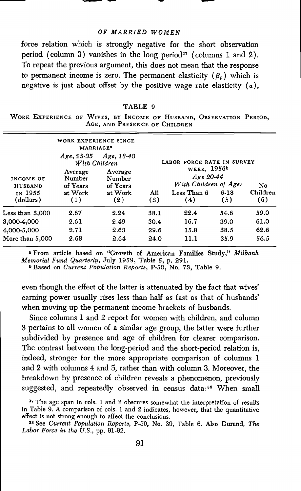force relation which is strongly negative for the short observation period (column 3) vanishes in the long period<sup>37</sup> (columns 1 and 2). To repeat the previous argument, this does not mean that the response to permanent income is zero. The permanent elasticity  $(\beta_p)$  which is negative is just about offset by the positive wage rate elasticity  $(a)$ ,

WORK EXPERIENCE OF WIVES, BY INCOME OF HUSBAND, OBSERVATION PERIOD, AGE, AND PRESENCE OF CHILDREN

|                                                            | Age, 25-35 Age, 18-40<br>With Children          |                                                 | LABOR FORCE RATE IN SURVEY                              |                    |               |                 |  |
|------------------------------------------------------------|-------------------------------------------------|-------------------------------------------------|---------------------------------------------------------|--------------------|---------------|-----------------|--|
| <b>INCOME OF</b><br><b>HUSBAND</b><br>IN 1955<br>(dollars) | Average<br>Number<br>of Years<br>at Work<br>(1) | Average<br>Number<br>of Years<br>at Work<br>(2) | WEEK, 1956b<br>Age 20-44<br>With Children of Age:<br>No |                    |               |                 |  |
|                                                            |                                                 |                                                 | All<br>(3)                                              | Less Than 6<br>(4) | $6-18$<br>(5) | Children<br>(6) |  |
| Less than 3,000                                            | 2.67                                            | 2.24                                            | 38.1                                                    | 22.4               | 54.6          | 59.0            |  |
| 3,000-4,000                                                | 2.61                                            | 2.49                                            | 30.4                                                    | 16.7               | 39.0          | 61.0            |  |
| 4,000-5,000                                                | 2.71                                            | 2.63                                            | 29.6                                                    | 15.8               | 38.5          | 62.6            |  |
| More than 5,000                                            | 2.68                                            | 2.64                                            | 24.0                                                    | 11.1               | 35.9          | 56.5            |  |

a From article based on "Growth of American Families Study," Milbank Memorial Fund Quarterly, July 1959, Table 5, p. 291. b Based on Current Population Reports, P-50, No. 73, Table 9.

even though the effect of the latter is attenuated by the fact that wives' earning power usually rises less than half as fast as that of husbands' when moving up the permanent income brackets of husbands.

Since columns 1 and 2 report for women with children, and column 3 pertains to all women of a similar age group, the latter were further subdivided by presence and age of children for clearer comparison. The contrast between the long-period and the short-period relation is, indeed, stronger for the more appropriate comparison of columns 1 and 2 with columns 4 and 5, rather than with column 3. Moreover, the breakdown by presence of children reveals a phenomenon, previously suggested, and repeatedly observed in census data:<sup>38</sup> When small

<sup>&</sup>lt;sup>37</sup> The age span in cols. 1 and 2 obscures somewhat the interpretation of results in Table 9. A comparison of cols. 1 and 2 indicates, however, that the quantitative effect is not strong enough to affect the conclusions.

<sup>38</sup> See Current Population Reports, P-50, No. 39, Table 6. Also Durand, The Labor Force in the U.S., pp. 91-92.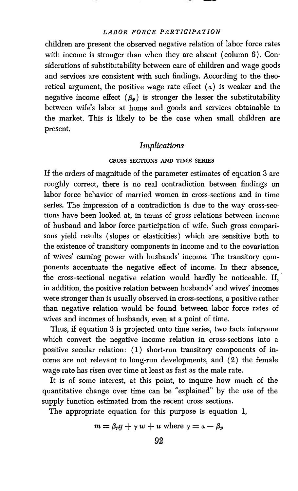#### LABOR FORCE PARTiCiPATION

children are present the observed negative relation of labor force rates with income is stronger than when they are absent (column 6). Considerations of substitutability between care of children and wage goods and services are consistent with such findings. According to the theoretical argument, the positive wage rate effect  $(a)$  is weaker and the negative income effect  $(\beta_p)$  is stronger the lesser the substitutability between wife's labor at home and goods and services obtainable in the market. This is likely to be the case when small children are present.

#### Implications

#### CROSS SECTIONS AND TIME SERIES

If the orders of magnitude of the parameter estimates of equation 3 are roughly correct, there is no real contradiction between findings on labor force behavior of married women in cross-sections and in time series. The impression of a contradiction is due to the way cross-sections have been looked at, in terms of gross relations between income of husband and labor force participation of wife. Such gross compari-Sons yield results (slopes or elasticities) which are sensitive both to the existence of transitory components in income and to the covariation of wives' earning power with husbands' income. The transitory components accentuate the negative effect of income. In their absence, the cross-sectional negative relation would hardly be noticeable. If, in addition, the positive relation between husbands' and wives' incomes were stronger than is usually observed in cross-sections, a positive rather than negative relation would be found between labor force rates of wives and incomes of husbands, even at a point of time.

Thus, if equation 3 is projected onto time series, two facts intervene which convert the negative income relation in cross-sections into a positive secular relation: (1) short-run transitory components of income are not relevant to long-run developments, and (2) the female wage rate has risen over time at least as fast as the male rate.

It is of some interest, at this point, to inquire how much of the quantitative change over time can be "explained" by the use of the supply function estimated from the recent cross sections.

The appropriate equation for this purpose is equation 1,

$$
m = \beta_p y + \gamma \, w + u \; {\rm where} \; \gamma = a - \beta_p
$$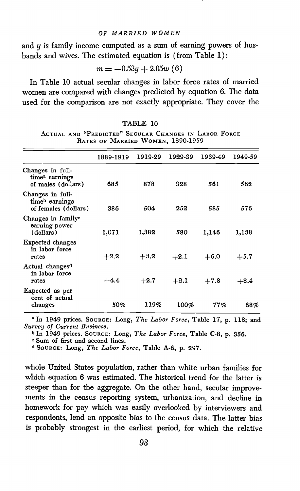and  $y$  is family income computed as a sum of earning powers of husbands and wives. The estimated equation is (from Table 1):

$$
m=-0.53y+2.05w(6)
$$

In Table 10 actual secular changes in labor force rates of married women are compared with changes predicted by equation 6. The data used for the comparison are not exactly appropriate. They cover the

|                                                                        |                                   | TABLE 10 |         |         |         |
|------------------------------------------------------------------------|-----------------------------------|----------|---------|---------|---------|
| ACTUAL AND "PREDICTED" SECULAR CHANGES IN LABOR FORCE                  | RATES OF MARRIED WOMEN, 1890-1959 |          |         |         |         |
|                                                                        | 1889-1919                         | 1919-29  | 1929-39 | 1939-49 | 1949-59 |
| Changes in full-<br>time <sup>a</sup> earnings<br>of males (dollars)   | 685                               | 878      | 328     | 561     | 562     |
| Changes in full-<br>time <sup>b</sup> earnings<br>of females (dollars) | 386                               | 504      | 252     | 585     | 576     |
| Changes in family <sup>e</sup><br>earning power<br>(dollars)           | 1,071                             | 1,382    | 580     | 1,146   | 1,138   |
| <b>Expected changes</b><br>in labor force<br>rates                     | $+2.2$                            | $+3.2$   | $+2.1$  | $+6.0$  | $+5.7$  |
| Actual changes <sup>d</sup><br>in labor force<br>rates                 | $+4.4$                            | $+2.7$   | $+2.1$  | $+7.8$  | $+8.4$  |
| Expected as per<br>cent of actual<br>changes                           | 50%                               | 119%     | 100%    | 77%     | 68%     |
|                                                                        |                                   |          |         |         |         |

| TABLE 10 |  |
|----------|--|
|----------|--|

ACTUAL AND "PREDICTED" SECULAR CHANGES IN LABOR FORCE RATES OF MARRIED WOMEN, 1890-1959

<sup>\*</sup> In 1949 prices. SOURCE: Long, The Labor Force, Table 17, p. 118; and Survey of Current Business.

<sup>b</sup> In 1949 prices. SOURCE: Long, The Labor Force, Table C-8, p. 356. C Sum of first and second lines.

d SOURCE: Long, The Labor Force, Table A-6, p. 297.

whole United States population, rather than white urban families for which equation 6 was estimated. The historical trend for the latter is steeper than for the aggregate. On the other hand, secular improvements in the census reporting system, urbanization, and decline in homework for pay which was easily overlooked by interviewers and respondents, lend an opposite bias to the census data. The latter bias is probably strongest in the earliest period, for which the relative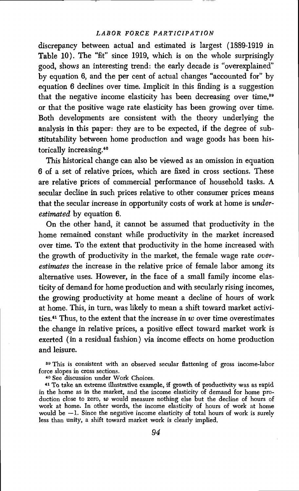#### LABOR FORCE PARTICIPATiON

discrepancy between actual and estimated is largest (1889-1919 in Table 10). The "fit" since 1919, which is on the whole surprisingly good, shows an interesting trend: the early decade is "overexplained" by equation 6, and the per cent of actual changes "accounted for" by equation 6 declines over time. Implicit in this finding is a suggestion that the negative income elasticity has been decreasing over time,<sup>89</sup> or that the positive wage rate elasticity has been growing over time. Both developments are consistent with the theory underlying the analysis in this paper: they are to be expected, if the degree of substitutability between home production and wage goods has been historically increasing.40

This historical change can also be viewed as an omission in equation 6 of a set of relative prices, which are fixed in cross sections. These are relative prices of commercial performance of household tasks. A secular decline in such prices relative to other consumer prices means that the secular increase in opportunity costs of work at home is underestimated by equation 6.

On the other hand, it cannot be assumed that productivity in the home remained constant while productivity in the market increased over time. To the extent that productivity in the home increased with the growth of productivity in the market, the female wage rate overestimates the increase in the relative price of female labor among its alternative uses. However, in the face of a small family income elasticity of demand for home production and with secularly rising incomes, the growing productivity at home meant a decline of hours of work at home. This, in turn, was likely to mean a shift toward market activities.<sup>41</sup> Thus, to the extent that the increase in  $w$  over time overestimates the change in relative prices, a positive effect toward market work is exerted (in a residual fashion) via income effects on home production and leisure.

89 This is consistent with an observed secular flattening of gross income-labor force slopes in cross sections.

40 See discussion under Work Choices.

41 To take an extreme illustrative example, if growth of productivity was as rapid in the home as in the market, and the income elasticity of demand for home production close to zero,  $w$  would measure nothing else but the decline of hours of work at home. In other words, the income elasticity of hours of work at home would be —1. Since the negative income elasticity of total hours of work is surely less than unity, a shift toward market work is clearly implied.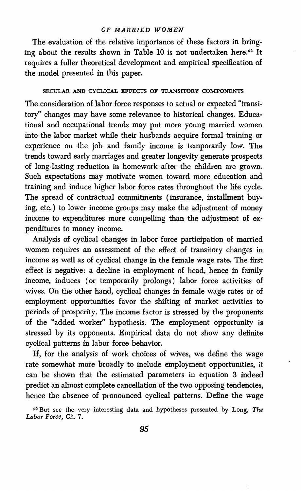The evaluation of the relative importance of these factors in bringing about the results shown in Table 10 is not undertaken here.'2 It requires a fuller theoretical development and empirical specification of the model presented in this paper.

#### SECULAR AND CYCLICAL EFFECTS OF TRANSITORY COMPONENTS

The consideration of labor force responses to actual or expected "transitory" changes may have some relevance to historical changes. Educational and occupational trends may put more young married women into the labor market while their husbands acquire formal training or experience on the job and family income is temporarily low. The trends toward early marriages and greater longevity generate prospects of long-lasting reduction in homework after the children are grown. Such expectations may motivate women toward more education and training and induce higher labor force rates throughout the life cycle. The spread of contractual commitments (insurance, installment buying, etc.) to lower income groups may make the adjustment of money income to expenditures more compelling than the adjustment of expenditures to money income.

Analysis of cyclical changes in labor force participation of married women requires an assessment of the effect of transitory changes in income as well as of cyclical change in the female wage rate. The first effect is negative: a decline in employment of head, hence in family income, induces (or temporarily prolongs) labor force activities of wives. On the other hand, cyclical changes in female wage rates or of employment opportunities favor the shifting of market activities to periods of prosperity. The income factor is stressed by the proponents of the "added worker" hypothesis. The employment opportunity is stressed by its opponents. Empirical data do not show any definite cyclical patterns in labor force behavior.

If, for the analysis of work choices of wives, we define the wage rate somewhat more broadly to include employment opportunities, it can be shown that the estimated parameters in equation 3 indeed predict an almost complete cancellation of the two opposing tendencies, hence the absence of pronounced cyclical patterns. Define the wage

<sup>42</sup> But see the very interesting data and hypotheses presented by Long, The Labor Force, Ch. 7.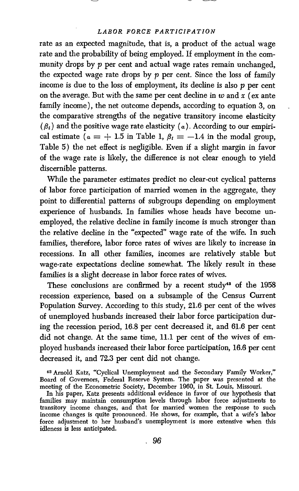#### LABOR FORCE PARTiCIPATiON

rate as an expected magnitude, that is, a product of the actual wage rate and the probability of being employed. If employment in the community drops by  $p$  per cent and actual wage rates remain unchanged, the expected wage rate drops by  $p$  per cent. Since the loss of family income is due to the loss of employment, its decline is also  $p$  per cent on the average. But with the same per cent decline in  $w$  and  $\overline{x}$  (ex ante family income), the net outcome depends, according to equation 3, on the comparative strengths of the negative transitory income elasticity  $(\beta_t)$  and the positive wage rate elasticity (a). According to our empirical estimate ( $a = +1.5$  in Table 1,  $\beta_t = -1.4$  in the modal group, Table 5) the net effect is negligible. Even if a slight margin in favor of the wage rate is likely, the difference is not clear enough to yield discernible patterns.

While the parameter estimates predict no clear-cut cyclical patterns of labor force participation of married women in the aggregate, they point to differential patterns of subgroups depending on employment experience of husbands. In families whose heads have become unemployed, the relative decline in family income is much stronger than the relative decline in the "expected" wage rate of the wife. In such families, therefore, labor force rates of wives are likely to increase in recessions. In all other families, incomes are relatively stable but wage-rate expectations decline somewhat. The likely result in these families is a slight decrease in labor force rates of wives.

These conclusions are confirmed by a recent study<sup>43</sup> of the 1958 recession experience, based on a subsample of the Census Current Population Survey. According to this study, 21.6 per cent of the wives of unemployed husbands increased their labor force participation during the recession period, 16.8 per cent decreased it, and 61.6 per cent did not change. At the same time, 11.1 per cent of the wives of employed husbands increased their labor force participation, 16.6 per cent decreased it, and 72.3 per cent did not change.

Arnold Katz, "Cyclical Unemployment and the Secondary Family Worker," Board of Governors, Federal Reserve System. The paper was presented at the meeting of the Econometric Society, December 1960, in St. Louis, Missouri.

In his paper, Katz presents additional evidence in favor of our hypothesis that families may maintain consumption levels through labor force adjustments to transitory income changes, and that for married women the response to such income changes is quite pronounced. He shows, for example, that a wife's labor force adjustment to her husband's unemployment is more extensive when this idleness is less anticipated.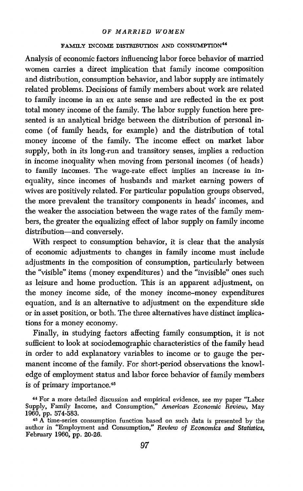#### FAMILY INCOME DISTRIBUTION AND CONSUMPTION<sup>44</sup>

Analysis of economic factors influencing labor force behavior of married women carries a direct implication that family income composition and distribution, consumption behavior, and labor supply are intimately related problems. Decisions of family members about work are related to family income in an ex ante sense and are reflected in the ex post total money income of the family. The labor supply function here presented is an analytical bridge between the distribution of personal income (of family heads, for example) and the distribution of total money income of the family. The income effect on market labor supply, both in its long-run and transitory senses, implies a reduction in income inequality when moving from personal incomes (of heads) to family incomes. The wage-rate effect implies an increase in inequality, since incomes of husbands and market earning powers of wives are positively related. For particular population groups observed, the more prevalent the transitory components in heads' incomes, and the weaker the association between the wage rates of the family members, the greater the equalizing effect of labor supply on family income distribution—and conversely.

With respect to consumption behavior, it is clear that the analysis of economic adjustments to changes in family income must include adjustments in the composition of consumption, particularly between the "visible" items (money expenditures) and the "invisible" ones such as leisure and home production. This is an apparent adjustment, on the money income side, of the money income—money expenditures equation, and is an alternative to adjustment on the expenditure side or in asset position, or both. The three alternatives have distinct implications for a money economy.

Finally, in studying factors affecting family consumption, it is not sufficient to look at sociodemographic characteristics of the family head in order to add explanatory variables to income or to gauge the permanent income of the family. For short-period observations the knowledge of employment status and labor force behavior of family members is of primary importance.45

<sup>&</sup>lt;sup>44</sup> For a more detailed discussion and empirical evidence, see my paper "Labor Supply, Family Income, and Consumption," American Economic Review, May 1960, pp. 574-583.

A time-series consumption function based on such data is presented by the author in "Employment and Consumption," Review of Economics and Statistics, February 1960, pp. 20-26.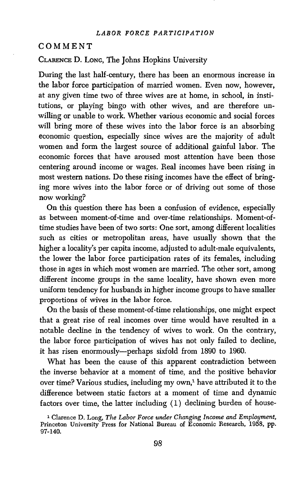#### COMMENT

CLARENCE D. LONG, The Johns Hopkins University

During the last half-century, there has been an enormous increase in the labor force participation of married women. Even now, however, at any given time two of three wives are at home, in school, in institutions, or playing bingo with other wives, and are therefore unwilling or unable to work. Whether various economic and social forces will bring more of these wives into the labor force is an absorbing economic question, especially since wives are the majority of adult women and form the largest source of additional gainful labor. The economic forces that have aroused most attention have been those centering around income or wages. Real incomes have been rising in most western nations. Do these rising incomes have the effect of bringing more wives into the labor force or of driving out some of those now working?

On this question there has been a confusion of evidence, especially as between moment-of-time and over-time relationships. Moment-oftime studies have been of two sorts: One sort, among different localities such as cities or metropolitan areas, have usually shown that the higher a locality's per capita income, adjusted to adult-male equivalents, the lower the labor force participation rates of its females, including those in ages in which most women are married. The other sort, among different income groups in the same locality, have shown even more uniform tendency for husbands in higher income groups to have smaller proportions of wives in the labor force.

On the basis of these moment-of-time relationships, one might expect that a great rise of real incomes over time would have resulted in a notable decline in the tendency of wives to work. On the contrary, the labor force participation of wives has not only failed to decline, it has risen enormously—perhaps sixfold from 1890 to 1960.

What has been the cause of this apparent contradiction between the inverse behavior at a moment of time, and the positive behavior over time? Various studies, including my own,<sup>1</sup> have attributed it to the difference between static factors at a moment of time and dynamic factors over time, the latter including (1) declining burden of house-

<sup>&</sup>lt;sup>1</sup> Clarence D. Long, The Labor Force under Changing Income and Employment, Princeton University Press for National Bureau of Economic Research, 1958, pp. 97-140.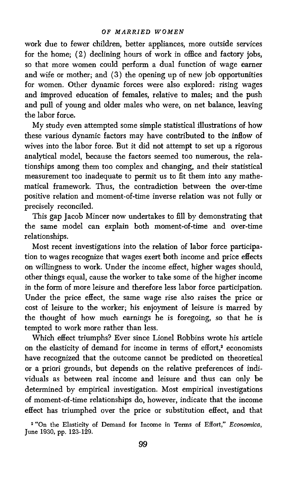work due to fewer children, better appliances, more outside services for the home; (2) declining hours of work in office and factory jobs, so that more women could perform a dual function of wage earner and wife or mother; and  $(3)$  the opening up of new job opportunities for women. Other dynamic forces were also explored: rising wages and improved education of females, relative to males; and the push and pull of young and older males who were, on net balance, leaving the labor force.

My study even attempted some simple statistical illustrations of how these various dynamic factors may have contributed to the inflow of wives into the labor force. But it did not attempt to set up a rigorous analytical model, because the factors seemed too numerous, the relationships among them too complex and changing, and their statistical measurement too inadequate to permit us to fit them into any mathematical framework. Thus, the contradiction between the over-time positive relation and moment-of-time inverse relation was not fully or precisely reconciled.

This gap Jacob Mincer now undertakes to fill by demonstrating that the same model can explain both moment-of-time and over-time relationships.

Most recent investigations into the relation of labor force participation to wages recognize that wages exert both income and price effects on willingness to work. Under the income effect, higher wages should, other things equal, cause the worker to take some of the higher income in the form of more leisure and therefore less labor force participation. Under the price effect, the same wage rise also raises the price or cost of leisure to the worker; his enjoyment of leisure is marred by the thought of how much earnings he is foregoing, so that he is tempted to work more rather than less.

Which effect triumphs? Ever since Lionel Robbins wrote his article on the elasticity of demand for income in terms of effort,<sup>2</sup> economists have recognized that the outcome cannot be predicted on theoretical or a priori grounds, but depends on the relative preferences of individuals as between real income and leisure and thus can only be determined by empirical investigation. Most empirical investigations of moment-of-time relationships do, however, indicate that the income effect has triumphed over the price or substitution effect, and that

<sup>2</sup> "On the Elasticity of Demand for Income in Terms of Effort," Economica, June 1930, pp. 123-129.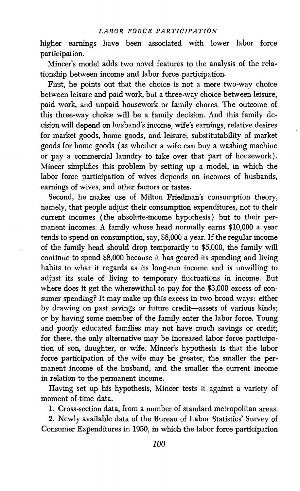higher earnings have been associated with lower labor force participation.

Mincer's model adds two novel features to the analysis of the relationship between income and labor force participation.

First, he points out that the choice is not a mere two-way choice between leisure and paid work, but a three-way choice between leisure, paid work, and unpaid housework or family chores. The outcome of this three-way choice will be a family decision. And this family decision will depend on husband's income, wife's earnings, relative desires for market goods, home goods, and leisure; substitutability of market goods for home goods (as whether a wife can buy a washing machine or pay a commercial laundry to take over that part of housework). Mincer simplifies this problem by setting up a model, in which the labor force participation of wives depends on incomes of husbands, earnings of wives, and other factors or tastes.

Second, he makes use of Milton Friedman's consumption theory, namely, that people adjust their consumption expenditures, not to their current incomes (the absolute-income hypothesis) but to their permanent incomes. A family whose head normally earns \$10,000 a year tends to spend on consumption, say, \$8,000 a year. If the regular income of the family head should drop temporarily to \$5,000, the family will continue to spend \$8,000 because it has geared its spending and living habits to what it regards as its long-run income and is unwilling to adjust its scale of living to temporary fluctuations in income. But where does it get the wherewithal to pay for the \$3,000 excess of consumer spending? It may make up this excess in two broad ways: either by drawing on past savings or future credit—assets of various kinds; or by having some member of the family enter the labor force. Young and poorly educated families may not have much savings or credit; for these, the only alternative may be increased labor force participation of son, daughter, or wife. Mincer's hypothesis is that the labor force participation of the wife may be greater, the smaller the permanent income of the husband, and the smaller the current income in relation to the permanent income.

Having set up his hypothesis, Mincer tests it against a variety of moment-of-time data.

1. Cross-section data, from a number of standard metropolitan areas.

2. Newly available data of the Bureau of Labor Statistics' Survey of Consumer Expenditures in 1950, in which the labor force participation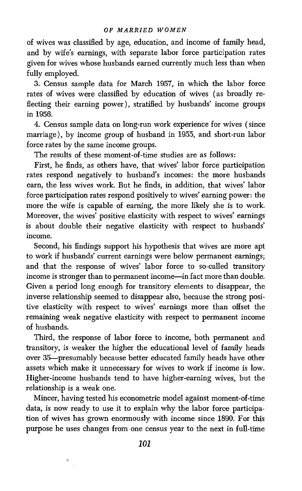of wives was classffied by age, education, and income of family head, and by wife's earnings, with separate labor force participation rates given for wives whose husbands earned currently much less than when fully employed.

3. Census sample data for March 1957, in which the labor force rates of wives were classified by education of wives (as broadly reflecting their earning power), stratified by husbands' income groups in 1956.

4. Census sample data on long-run work experience for wives (since marriage), by income group of husband in 1955, and short-run labor force rates by the same income groups.

The results of these moment-of-time studies are as follows:

First, he finds, as others have, that wives' labor force participation rates respond negatively to husband's incomes: the more husbands earn, the less wives work. But he finds, in addition, that wives' labor force participation rates respond positively to wives' earning power: the more the wife is capable of earning, the more likely she is to work. Moreover, the wives' positive elasticity with respect to wives' earnings is about double their negative elasticity with respect to husbands' income.

Second, his findings support his hypothesis that wives are more apt to work if husbands' current earnings were below permanent earnings; and that the response of wives' labor force to so-called transitory income is stronger than to permanent income—in fact more than double. Civen a period long enough for transitory elements to disappear, the inverse relationship seemed to disappear also, because the strong positive elasticity with respect to wives' earnings more than offset the remaining weak negative elasticity with respect to permanent income of husbands.

Third, the response of labor force to income, both permanent and transitory, is weaker the higher the educational level of family heads over 35—presumably because better educated family heads have other assets which make it unnecessary for wives to work if income is low. Higher-income husbands tend to have higher-earning wives, but the relationship is a weak one.

Mincer, having tested his econometric model against moment-of-time data, is now ready to use it to explain why the labor force participation of wives has grown enormously with income since 1890. For this purpose he uses changes from one census year to the next in full-time

Ó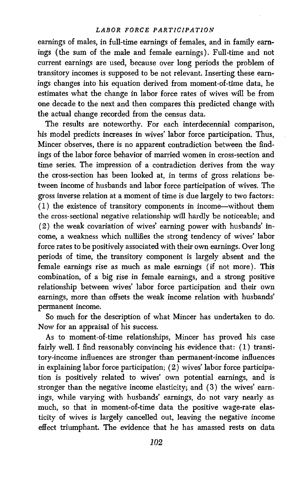#### LABOR FORCE PARTICIPATION

earnings of males, in full-time earnings of females, and in family earnings (the sum of the male and female earnings). Full-time and not current earnings are used, because over long periods the problem of transitory incomes is supposed to be not relevant. Inserting these earnings changes into his equation derived from moment-of-time data, he estimates what the change in labor force rates of wives will be from one decade to the next and then compares this predicted change with the actual change recorded from the census data.

The results are noteworthy. For each interdecennial comparison, his model predicts increases in wives' labor force participation. Thus, Mincer observes, there is no apparent contradiction between the findings of the labor force behavior of married women in cross-section and time series. The impression of a contradiction derives from the way the cross-section has been looked at, in terms of gross relations between income of husbands and labor force participation of wives. The gross inverse relation at a moment of time is due largely to two factors: (1) the existence of transitory components in income—without them the cross-sectional negative relationship will hardly be noticeable; and (2) the weak covariation of wives' earning power with husbands' income, a weakness which nullifies the strong tendency of wives' labor force rates to be positively associated with their own earnings. Over long periods of time, the transitory component is largely absent and the female earnings rise as much as male earnings (if not more). This combination, of a big rise in female earnings, and a strong positive relationship between wives' labor force participation and their own earnings, more than offsets the weak income relation with husbands' permanent income.

So much for the description of what Mincer has undertaken to do. Now for an appraisal of his success.

As to moment-of-time relationships, Mincer has proved his case fairly well. I find reasonably convincing his evidence that: (1) transitory-income influences are stronger than permanent-income influences in explaining labor force participation;  $(2)$  wives' labor force participation is positively related to wives' own potential earnings, and is stronger than the negative income elasticity; and (3) the wives' earnings, while varying with husbands' earnings, do not vary nearly as much, so that in moment-of-time data the positive wage-rate elasticity of wives is largely cancelled out, leaving the negative income effect triumphant. The evidence that he has amassed rests on data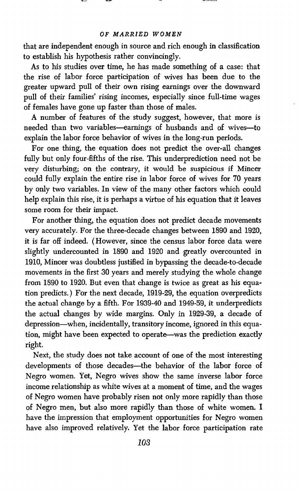that are independent enough in source and rich enough in classification to establish his hypothesis rather convincingly.

As to his studies over time, he has made something of a case: that the rise of labor force participation of wives has been due to the greater upward pull of their own rising earnings over the downward pull of their families' rising incomes, especially since full-time wages of females have gone up faster than those of males.

A number of features of the study suggest, however, that more is needed than two variables—earnings of husbands and of wives—to explain the labor force behavior of wives in the long-run periods.

For one thing, the equation does not predict the over-all changes fully but only four-fifths of the rise. This underprediction need not be very disturbing; on the contrary, it would be suspicious if Mincer could fully explain the entire rise in labor force of wives for 70 years by only two variables. In view of the many other factors which could help explain this rise, it is perhaps a virtue of his equation that it leaves some room for their impact.

For another thing, the equation does not predict decade movements very accurately. For the three-decade changes between 1890 and 1920, it is far off indeed. (However, since the census labor force data were slightly undercounted in 1890 and 1920 and greatly overcounted in 1910, Mincer was doubtless justified in bypassing the decade-to-decade movements in the first 30 years and merely studying the whole change from 1890 to 1920. But even that change is twice as great as his equation predicts.) For the next decade, 1919-29, the equation overpredicts the actual change by a fifth. For 1939-40 and 1949-59, it underpredicts the actual changes by wide margins. Only in 1929-39, a decade of depression—when, incidentally, transitory income, ignored in this equation, might have been expected to operate—was the prediction exactly right.

Next, the study does not take account of one of the most interesting developments of those decades—the behavior of the labor force of Negro women. Yet, Negro wives show the same inverse labor force income relationship as white wives at a moment of time, and the wages of Negro women have probably risen not only more rapidly than those of Negro men, but also more rapidly than those of white women. I have the impression that employment opportunities for Negro women have also improved relatively. Yet the labor force participation rate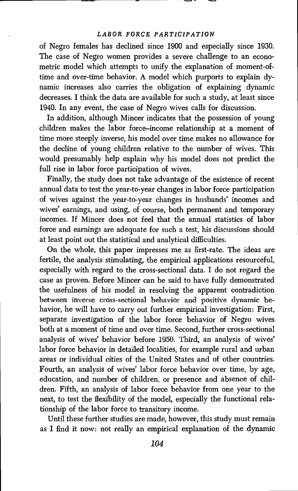#### LABOR FORCE PARTICIPATION

of Negro females has declined since 1900 and especially since 1930. The case of Negro women provides a severe challenge to an econometric model which attempts to unify the explanation of moment-oftime and over-time behavior, A model which purports to explain dynamic increases also carries the obligation of explaining dynamic decreases. I think the data are available for such a study, at least since 1940. In any event, the case of Negro wives calls for discussion.

In addition, although Mincer indicates that the possession of young children makes the labor force—income relationship at a moment of time more steeply inverse, his model over time makes no allowance for the decline of young children relative to the number of wives. This would presumably help explain why his model does not predict the full rise in labor force participation of wives.

Finally, the study does not take advantage of the existence of recent annual data to test the year-to-year changes in labor force participation of wives against the year-to-year changes in husbands' incomes and wives' earnings, and using, of course, both permanent and temporary incomes. If Mincer does not feel that the annual statistics of labor force and earnings are adequate for such a test, his discussions should at least point out the statistical and analytical difficulties.

On the whole, this paper impresses me as first-rate. The ideas are fertile, the analysis stimulating, the empirical applications resourceful, especially with regard to the cross-sectional data. I do not regard the case as proven. Before Mincer can be said to have fully demonstrated the usefulness of his model in resolving the apparent contradiction between inverse cross-sectional behavior and positive dynamic behavior, he will have to carry out further empirical investigation: First, separate investigation of the labor force behavior of Negro wives both at a moment of time and over time. Second, further cross-sectional analysis of wives' behavior before 1950. Third, an analysis of wives' labor force behavior in detailed localities, for example rural and urban areas or individual cities of the United States and of other countries. Fourth, an analysis of wives' labor force behavior over time, by age, education, and number of children, or presence and absence of children. Fifth, an analysis of labor force behavior from one year to the next, to test the flexibility of the model, especially the functional relationship of the labor force to transitory income.

Until these further studies are made, however, this study must remain as I find it now: not really an empirical explanation of the dynamic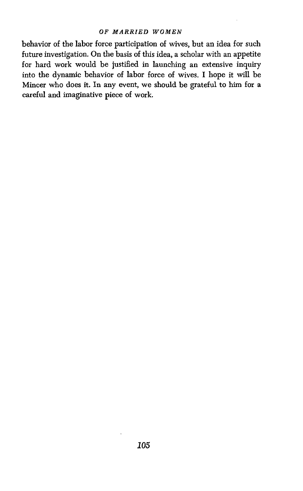behavior of the labor force participation of wives, but an idea for such future investigation. On the basis of this idea, a scholar with an appetite for hard work would be justified in launching an extensive inquiry into the dynamic behavior of labor force of wives. I hope it will be Mincer who does it. In any event, we should be grateful to him for a careful and imaginative piece of work.